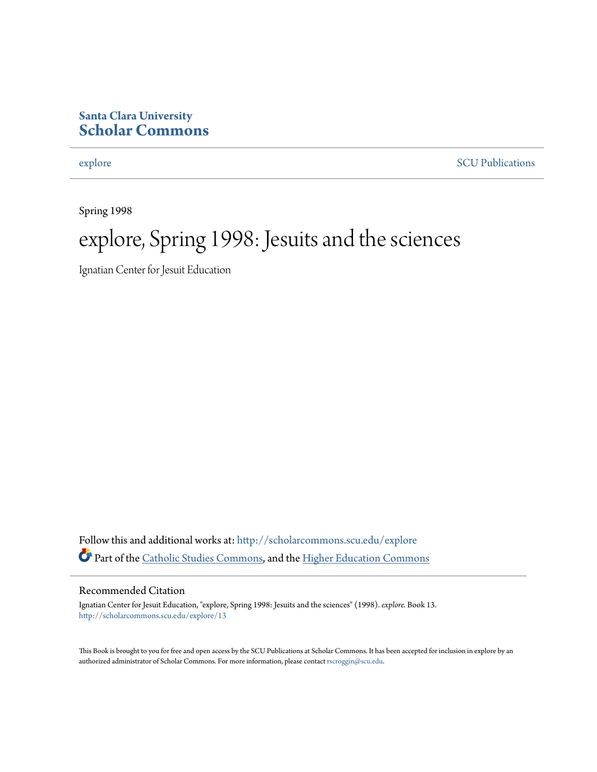#### **Santa Clara University [Scholar Commons](http://scholarcommons.scu.edu?utm_source=scholarcommons.scu.edu%2Fexplore%2F13&utm_medium=PDF&utm_campaign=PDFCoverPages)**

[explore](http://scholarcommons.scu.edu/explore?utm_source=scholarcommons.scu.edu%2Fexplore%2F13&utm_medium=PDF&utm_campaign=PDFCoverPages) [SCU Publications](http://scholarcommons.scu.edu/scu_pubs?utm_source=scholarcommons.scu.edu%2Fexplore%2F13&utm_medium=PDF&utm_campaign=PDFCoverPages)

Spring 1998

# explore, Spring 1998: Jesuits and the sciences

Ignatian Center for Jesuit Education

Follow this and additional works at: [http://scholarcommons.scu.edu/explore](http://scholarcommons.scu.edu/explore?utm_source=scholarcommons.scu.edu%2Fexplore%2F13&utm_medium=PDF&utm_campaign=PDFCoverPages) Part of the [Catholic Studies Commons,](http://network.bepress.com/hgg/discipline/1294?utm_source=scholarcommons.scu.edu%2Fexplore%2F13&utm_medium=PDF&utm_campaign=PDFCoverPages) and the [Higher Education Commons](http://network.bepress.com/hgg/discipline/1245?utm_source=scholarcommons.scu.edu%2Fexplore%2F13&utm_medium=PDF&utm_campaign=PDFCoverPages)

#### Recommended Citation

Ignatian Center for Jesuit Education, "explore, Spring 1998: Jesuits and the sciences" (1998). *explore.* Book 13. [http://scholarcommons.scu.edu/explore/13](http://scholarcommons.scu.edu/explore/13?utm_source=scholarcommons.scu.edu%2Fexplore%2F13&utm_medium=PDF&utm_campaign=PDFCoverPages)

This Book is brought to you for free and open access by the SCU Publications at Scholar Commons. It has been accepted for inclusion in explore by an authorized administrator of Scholar Commons. For more information, please contact [rscroggin@scu.edu.](mailto:rscroggin@scu.edu)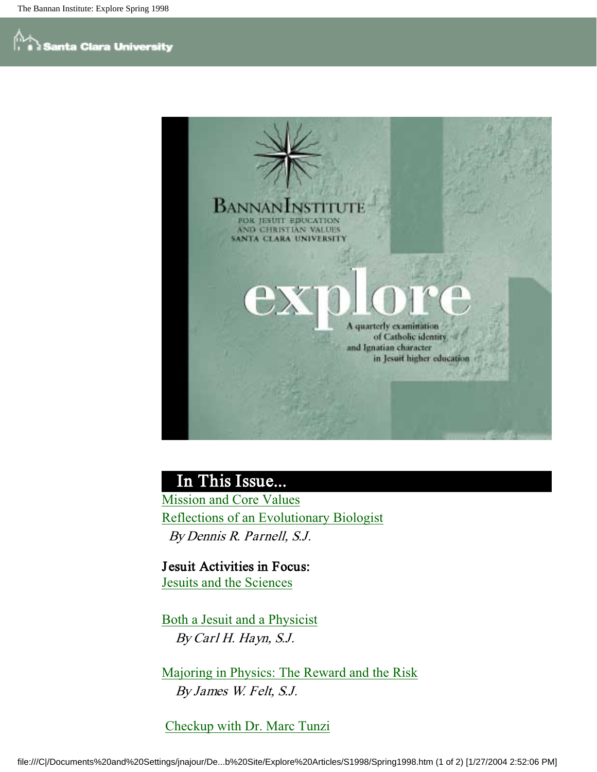

#### In This Issue...

Mission and Core Values Reflections of an Evolutionary Biologist By Dennis R. Parnell, S.J.

Jesuit Activities in Focus: Jesuits and the Sciences

Both a Jesuit and a Physicist By Carl H. Hayn, S.J.

Majoring in Physics: The Reward and the Risk By James W. Felt, S.J.

Checkup with Dr. Marc Tunzi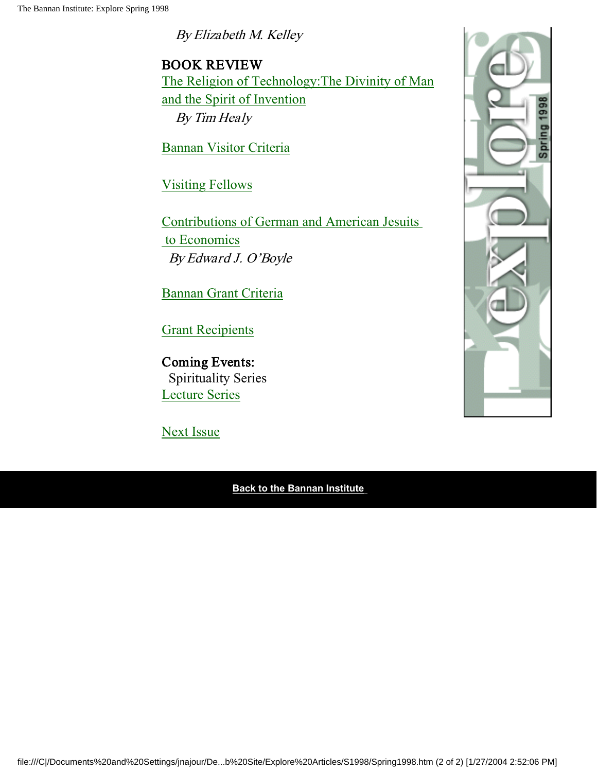By Elizabeth M. Kelley

BOOK REVIEW The Religion of Technology:The Divinity of Man and the Spirit of Invention By Tim Healy

Bannan Visitor Criteria

Visiting Fellows

Contributions of German and American Jesuits to Economics By Edward J. O'Boyle

Bannan Grant Criteria

Grant Recipients

Coming Events: Spirituality Series Lecture Series

Next Issue

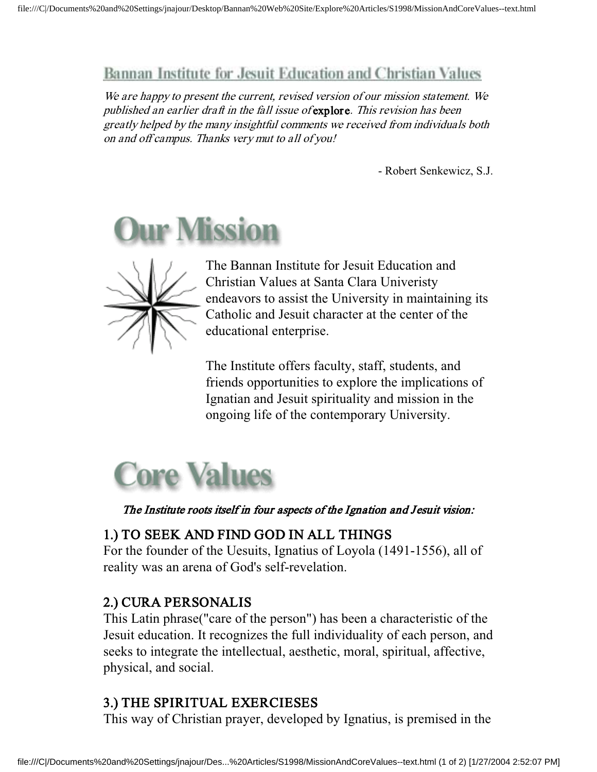#### Bannan Institute for Jesuit Education and Christian Values

We are happy to present the current, revised version of our mission statement. We published an earlier draft in the fall issue of explore. This revision has been greatly helped by the many insightful comments we received from individuals both on and off campus. Thanks very mut to all of you!

- Robert Senkewicz, S.J.





The Bannan Institute for Jesuit Education and Christian Values at Santa Clara Univeristy endeavors to assist the University in maintaining its Catholic and Jesuit character at the center of the educational enterprise.

The Institute offers faculty, staff, students, and friends opportunities to explore the implications of Ignatian and Jesuit spirituality and mission in the ongoing life of the contemporary University.



The Institute roots itself in four aspects of the Ignation and Jesuit vision:

#### 1.) TO SEEK AND FIND GOD IN ALL THINGS

For the founder of the Uesuits, Ignatius of Loyola (1491-1556), all of reality was an arena of God's self-revelation.

#### 2.) CURA PERSONALIS

This Latin phrase("care of the person") has been a characteristic of the Jesuit education. It recognizes the full individuality of each person, and seeks to integrate the intellectual, aesthetic, moral, spiritual, affective, physical, and social.

#### 3.) THE SPIRITUAL EXERCIESES

This way of Christian prayer, developed by Ignatius, is premised in the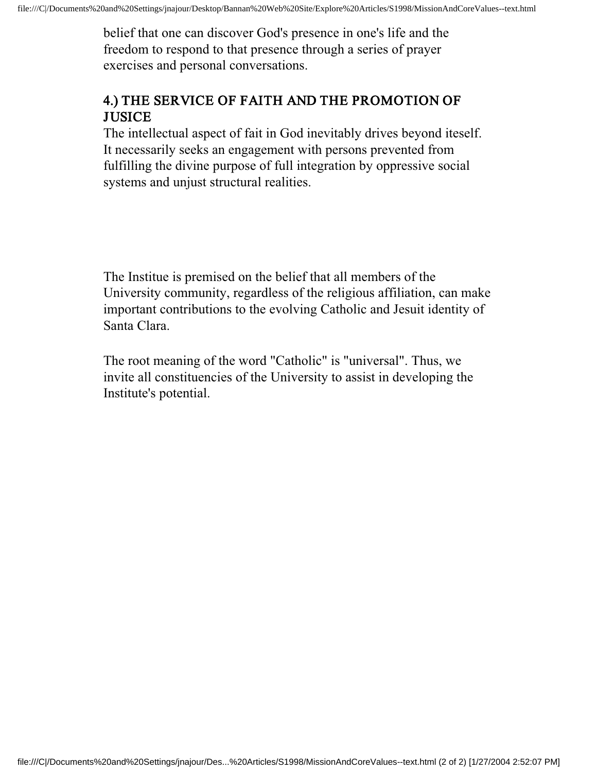belief that one can discover God's presence in one's life and the freedom to respond to that presence through a series of prayer exercises and personal conversations.

#### 4.) THE SERVICE OF FAITH AND THE PROMOTION OF **JUSICE**

The intellectual aspect of fait in God inevitably drives beyond iteself. It necessarily seeks an engagement with persons prevented from fulfilling the divine purpose of full integration by oppressive social systems and unjust structural realities.

The Institue is premised on the belief that all members of the University community, regardless of the religious affiliation, can make important contributions to the evolving Catholic and Jesuit identity of Santa Clara.

The root meaning of the word "Catholic" is "universal". Thus, we invite all constituencies of the University to assist in developing the Institute's potential.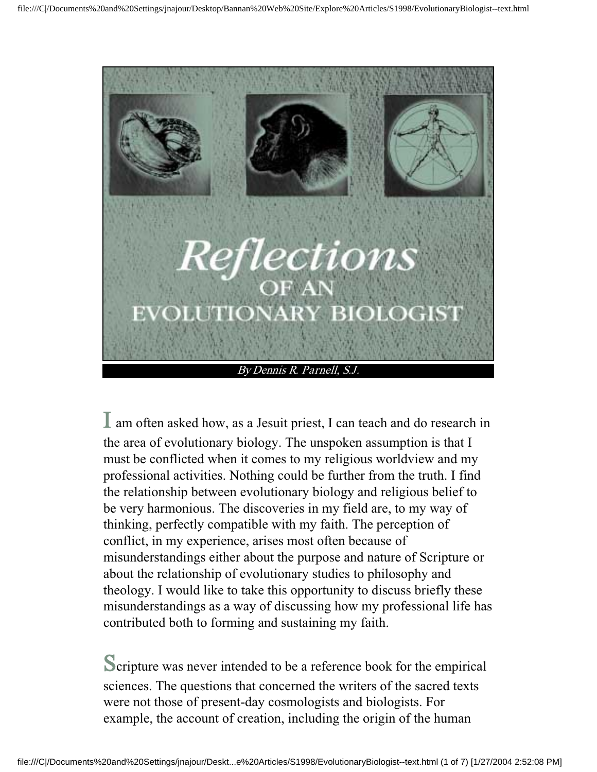

I am often asked how, as a Jesuit priest, I can teach and do research in the area of evolutionary biology. The unspoken assumption is that I must be conflicted when it comes to my religious worldview and my professional activities. Nothing could be further from the truth. I find the relationship between evolutionary biology and religious belief to be very harmonious. The discoveries in my field are, to my way of thinking, perfectly compatible with my faith. The perception of conflict, in my experience, arises most often because of misunderstandings either about the purpose and nature of Scripture or about the relationship of evolutionary studies to philosophy and theology. I would like to take this opportunity to discuss briefly these misunderstandings as a way of discussing how my professional life has contributed both to forming and sustaining my faith.

Scripture was never intended to be a reference book for the empirical sciences. The questions that concerned the writers of the sacred texts were not those of present-day cosmologists and biologists. For example, the account of creation, including the origin of the human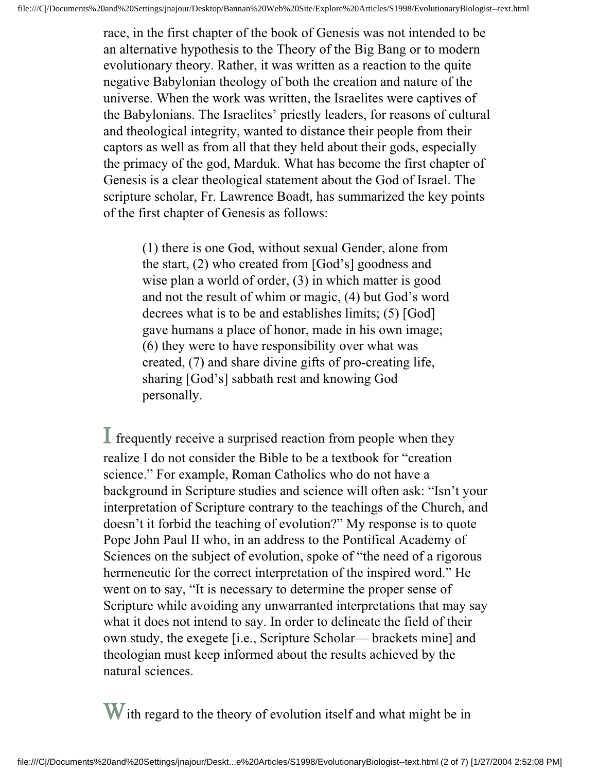race, in the first chapter of the book of Genesis was not intended to be an alternative hypothesis to the Theory of the Big Bang or to modern evolutionary theory. Rather, it was written as a reaction to the quite negative Babylonian theology of both the creation and nature of the universe. When the work was written, the Israelites were captives of the Babylonians. The Israelites' priestly leaders, for reasons of cultural and theological integrity, wanted to distance their people from their captors as well as from all that they held about their gods, especially the primacy of the god, Marduk. What has become the first chapter of Genesis is a clear theological statement about the God of Israel. The scripture scholar, Fr. Lawrence Boadt, has summarized the key points of the first chapter of Genesis as follows:

(1) there is one God, without sexual Gender, alone from the start, (2) who created from [God's] goodness and wise plan a world of order, (3) in which matter is good and not the result of whim or magic, (4) but God's word decrees what is to be and establishes limits; (5) [God] gave humans a place of honor, made in his own image; (6) they were to have responsibility over what was created, (7) and share divine gifts of pro-creating life, sharing [God's] sabbath rest and knowing God personally.

 $\perp$  frequently receive a surprised reaction from people when they realize I do not consider the Bible to be a textbook for "creation science." For example, Roman Catholics who do not have a background in Scripture studies and science will often ask: "Isn't your interpretation of Scripture contrary to the teachings of the Church, and doesn't it forbid the teaching of evolution?" My response is to quote Pope John Paul II who, in an address to the Pontifical Academy of Sciences on the subject of evolution, spoke of "the need of a rigorous hermeneutic for the correct interpretation of the inspired word." He went on to say, "It is necessary to determine the proper sense of Scripture while avoiding any unwarranted interpretations that may say what it does not intend to say. In order to delineate the field of their own study, the exegete [i.e., Scripture Scholar— brackets mine] and theologian must keep informed about the results achieved by the natural sciences.

W ith regard to the theory of evolution itself and what might be in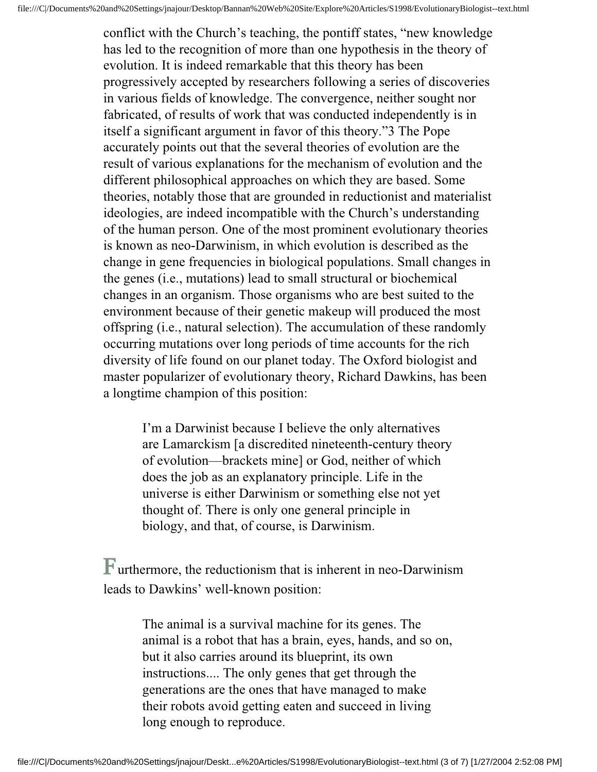conflict with the Church's teaching, the pontiff states, "new knowledge has led to the recognition of more than one hypothesis in the theory of evolution. It is indeed remarkable that this theory has been progressively accepted by researchers following a series of discoveries in various fields of knowledge. The convergence, neither sought nor fabricated, of results of work that was conducted independently is in itself a significant argument in favor of this theory."3 The Pope accurately points out that the several theories of evolution are the result of various explanations for the mechanism of evolution and the different philosophical approaches on which they are based. Some theories, notably those that are grounded in reductionist and materialist ideologies, are indeed incompatible with the Church's understanding of the human person. One of the most prominent evolutionary theories is known as neo-Darwinism, in which evolution is described as the change in gene frequencies in biological populations. Small changes in the genes (i.e., mutations) lead to small structural or biochemical changes in an organism. Those organisms who are best suited to the environment because of their genetic makeup will produced the most offspring (i.e., natural selection). The accumulation of these randomly occurring mutations over long periods of time accounts for the rich diversity of life found on our planet today. The Oxford biologist and master popularizer of evolutionary theory, Richard Dawkins, has been a longtime champion of this position:

I'm a Darwinist because I believe the only alternatives are Lamarckism [a discredited nineteenth-century theory of evolution—brackets mine] or God, neither of which does the job as an explanatory principle. Life in the universe is either Darwinism or something else not yet thought of. There is only one general principle in biology, and that, of course, is Darwinism.

Furthermore, the reductionism that is inherent in neo-Darwinism leads to Dawkins' well-known position:

> The animal is a survival machine for its genes. The animal is a robot that has a brain, eyes, hands, and so on, but it also carries around its blueprint, its own instructions.... The only genes that get through the generations are the ones that have managed to make their robots avoid getting eaten and succeed in living long enough to reproduce.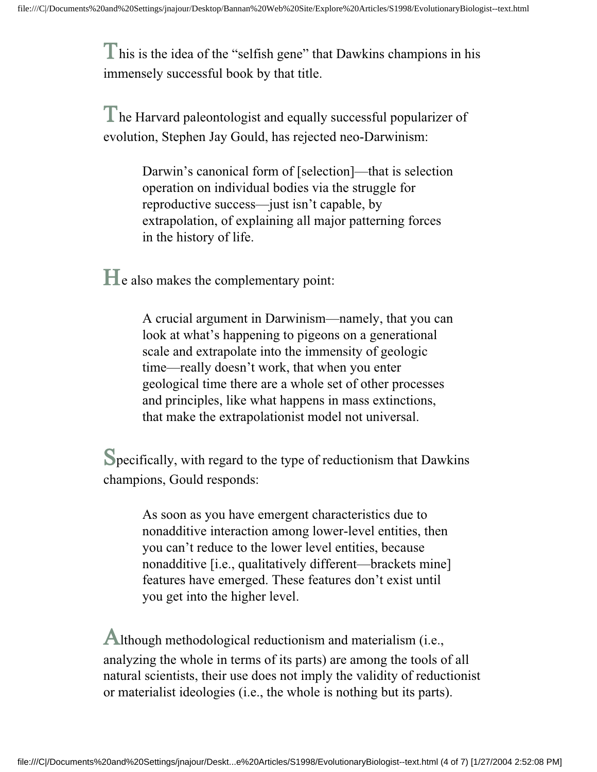This is the idea of the "selfish gene" that Dawkins champions in his immensely successful book by that title.

The Harvard paleontologist and equally successful popularizer of evolution, Stephen Jay Gould, has rejected neo-Darwinism:

> Darwin's canonical form of [selection]—that is selection operation on individual bodies via the struggle for reproductive success—just isn't capable, by extrapolation, of explaining all major patterning forces in the history of life.

He also makes the complementary point:

A crucial argument in Darwinism—namely, that you can look at what's happening to pigeons on a generational scale and extrapolate into the immensity of geologic time—really doesn't work, that when you enter geological time there are a whole set of other processes and principles, like what happens in mass extinctions, that make the extrapolationist model not universal.

Specifically, with regard to the type of reductionism that Dawkins champions, Gould responds:

> As soon as you have emergent characteristics due to nonadditive interaction among lower-level entities, then you can't reduce to the lower level entities, because nonadditive [i.e., qualitatively different—brackets mine] features have emerged. These features don't exist until you get into the higher level.

Although methodological reductionism and materialism (i.e., analyzing the whole in terms of its parts) are among the tools of all natural scientists, their use does not imply the validity of reductionist or materialist ideologies (i.e., the whole is nothing but its parts).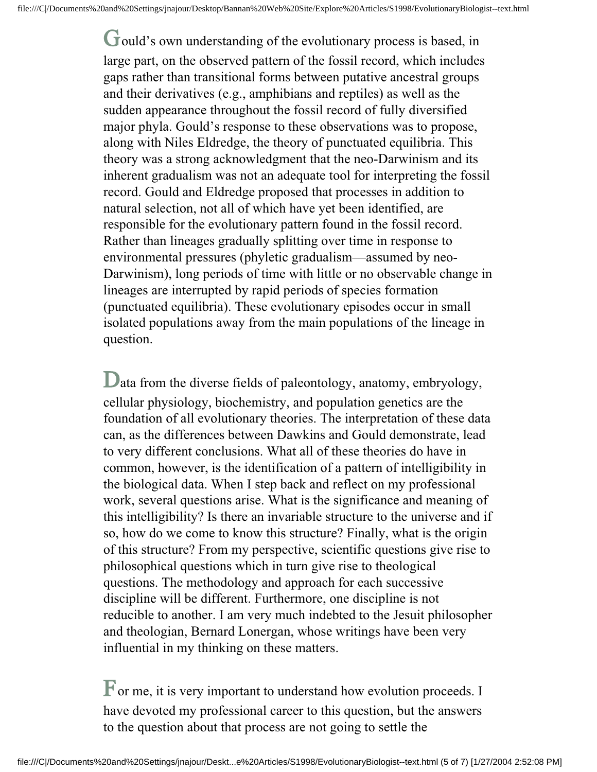Gould's own understanding of the evolutionary process is based, in large part, on the observed pattern of the fossil record, which includes gaps rather than transitional forms between putative ancestral groups and their derivatives (e.g., amphibians and reptiles) as well as the sudden appearance throughout the fossil record of fully diversified major phyla. Gould's response to these observations was to propose, along with Niles Eldredge, the theory of punctuated equilibria. This theory was a strong acknowledgment that the neo-Darwinism and its inherent gradualism was not an adequate tool for interpreting the fossil record. Gould and Eldredge proposed that processes in addition to natural selection, not all of which have yet been identified, are responsible for the evolutionary pattern found in the fossil record. Rather than lineages gradually splitting over time in response to environmental pressures (phyletic gradualism—assumed by neo-Darwinism), long periods of time with little or no observable change in lineages are interrupted by rapid periods of species formation (punctuated equilibria). These evolutionary episodes occur in small isolated populations away from the main populations of the lineage in question.

Data from the diverse fields of paleontology, anatomy, embryology, cellular physiology, biochemistry, and population genetics are the foundation of all evolutionary theories. The interpretation of these data can, as the differences between Dawkins and Gould demonstrate, lead to very different conclusions. What all of these theories do have in common, however, is the identification of a pattern of intelligibility in the biological data. When I step back and reflect on my professional work, several questions arise. What is the significance and meaning of this intelligibility? Is there an invariable structure to the universe and if so, how do we come to know this structure? Finally, what is the origin of this structure? From my perspective, scientific questions give rise to philosophical questions which in turn give rise to theological questions. The methodology and approach for each successive discipline will be different. Furthermore, one discipline is not reducible to another. I am very much indebted to the Jesuit philosopher and theologian, Bernard Lonergan, whose writings have been very influential in my thinking on these matters.

 $\mathbf F$  or me, it is very important to understand how evolution proceeds. I have devoted my professional career to this question, but the answers to the question about that process are not going to settle the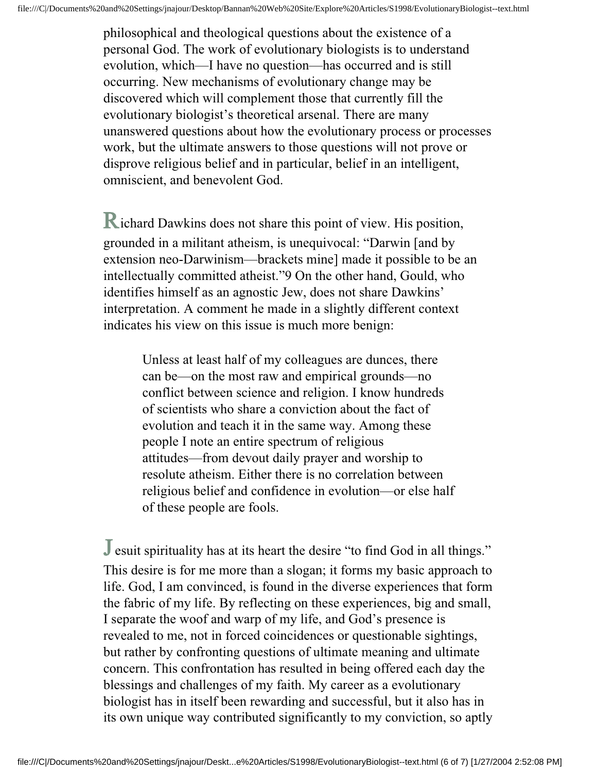philosophical and theological questions about the existence of a personal God. The work of evolutionary biologists is to understand evolution, which—I have no question—has occurred and is still occurring. New mechanisms of evolutionary change may be discovered which will complement those that currently fill the evolutionary biologist's theoretical arsenal. There are many unanswered questions about how the evolutionary process or processes work, but the ultimate answers to those questions will not prove or disprove religious belief and in particular, belief in an intelligent, omniscient, and benevolent God.

Richard Dawkins does not share this point of view. His position, grounded in a militant atheism, is unequivocal: "Darwin [and by extension neo-Darwinism—brackets mine] made it possible to be an intellectually committed atheist."9 On the other hand, Gould, who identifies himself as an agnostic Jew, does not share Dawkins' interpretation. A comment he made in a slightly different context indicates his view on this issue is much more benign:

> Unless at least half of my colleagues are dunces, there can be—on the most raw and empirical grounds—no conflict between science and religion. I know hundreds of scientists who share a conviction about the fact of evolution and teach it in the same way. Among these people I note an entire spectrum of religious attitudes—from devout daily prayer and worship to resolute atheism. Either there is no correlation between religious belief and confidence in evolution—or else half of these people are fools.

J esuit spirituality has at its heart the desire "to find God in all things." This desire is for me more than a slogan; it forms my basic approach to life. God, I am convinced, is found in the diverse experiences that form the fabric of my life. By reflecting on these experiences, big and small, I separate the woof and warp of my life, and God's presence is revealed to me, not in forced coincidences or questionable sightings, but rather by confronting questions of ultimate meaning and ultimate concern. This confrontation has resulted in being offered each day the blessings and challenges of my faith. My career as a evolutionary biologist has in itself been rewarding and successful, but it also has in its own unique way contributed significantly to my conviction, so aptly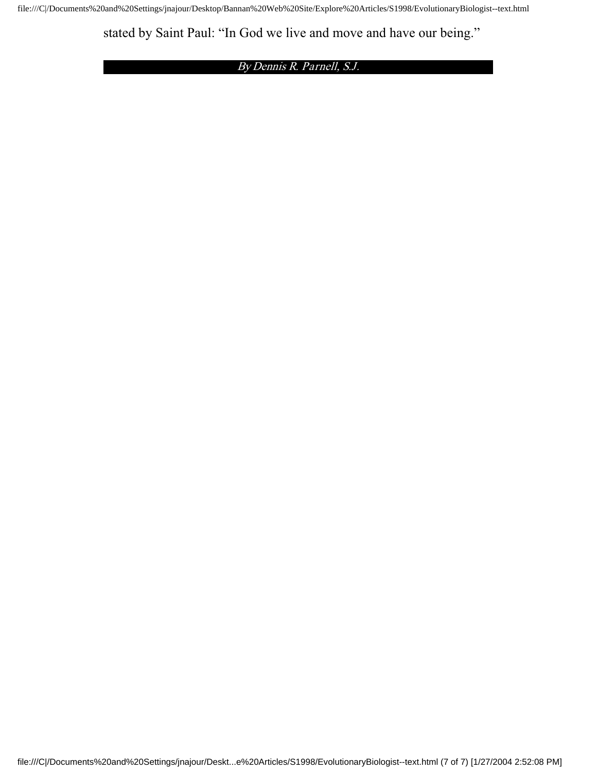stated by Saint Paul: "In God we live and move and have our being."

By Dennis R. Parnell, S.J.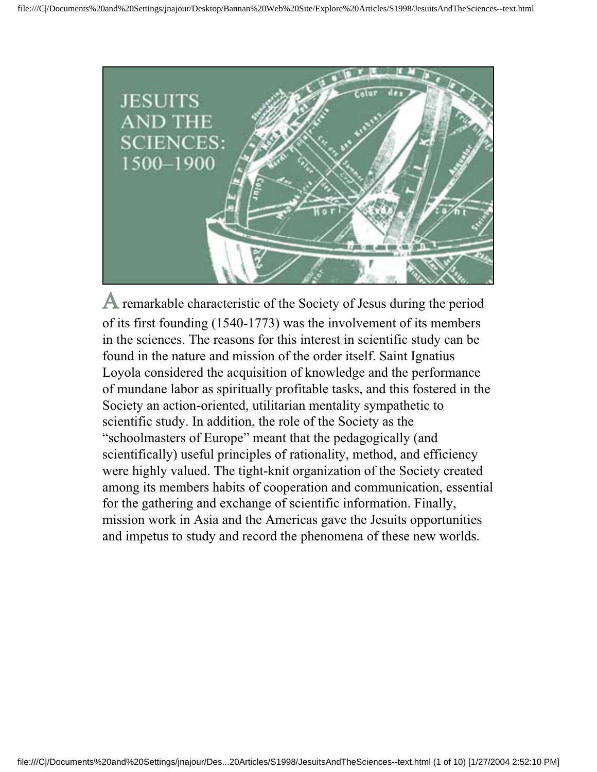

A remarkable characteristic of the Society of Jesus during the period of its first founding (1540-1773) was the involvement of its members in the sciences. The reasons for this interest in scientific study can be found in the nature and mission of the order itself. Saint Ignatius Loyola considered the acquisition of knowledge and the performance of mundane labor as spiritually profitable tasks, and this fostered in the Society an action-oriented, utilitarian mentality sympathetic to scientific study. In addition, the role of the Society as the "schoolmasters of Europe" meant that the pedagogically (and scientifically) useful principles of rationality, method, and efficiency were highly valued. The tight-knit organization of the Society created among its members habits of cooperation and communication, essential for the gathering and exchange of scientific information. Finally, mission work in Asia and the Americas gave the Jesuits opportunities and impetus to study and record the phenomena of these new worlds.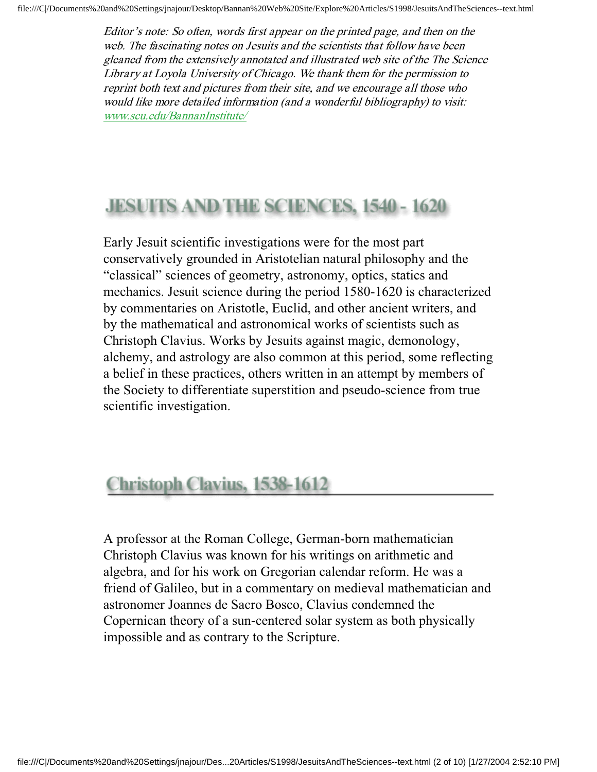Editor's note: So often, words first appear on the printed page, and then on the web. The fascinating notes on Jesuits and the scientists that follow have been gleaned from the extensively annotated and illustrated web site of the The Science Library at Loyola University of Chicago. We thank them for the permission to reprint both text and pictures from their site, and we encourage all those who would like more detailed information (and a wonderful bibliography) to visit: www.scu.edu/BannanInstitute/

# **JESUITS AND THE SCIENCES, 1540 - 1620**

Early Jesuit scientific investigations were for the most part conservatively grounded in Aristotelian natural philosophy and the "classical" sciences of geometry, astronomy, optics, statics and mechanics. Jesuit science during the period 1580-1620 is characterized by commentaries on Aristotle, Euclid, and other ancient writers, and by the mathematical and astronomical works of scientists such as Christoph Clavius. Works by Jesuits against magic, demonology, alchemy, and astrology are also common at this period, some reflecting a belief in these practices, others written in an attempt by members of the Society to differentiate superstition and pseudo-science from true scientific investigation.

# **Christoph Clavius, 1538-1612**

A professor at the Roman College, German-born mathematician Christoph Clavius was known for his writings on arithmetic and algebra, and for his work on Gregorian calendar reform. He was a friend of Galileo, but in a commentary on medieval mathematician and astronomer Joannes de Sacro Bosco, Clavius condemned the Copernican theory of a sun-centered solar system as both physically impossible and as contrary to the Scripture.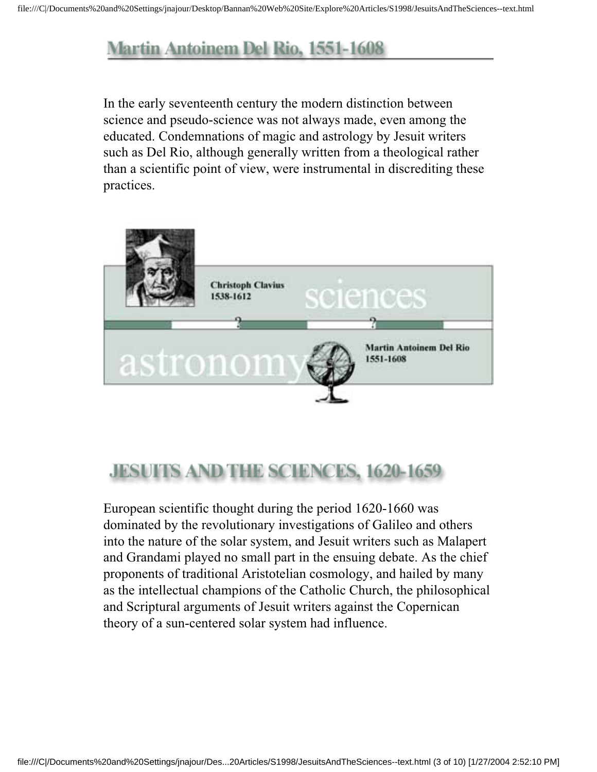## **Martin Antoinem Del Rio, 1551-1608**

In the early seventeenth century the modern distinction between science and pseudo-science was not always made, even among the educated. Condemnations of magic and astrology by Jesuit writers such as Del Rio, although generally written from a theological rather than a scientific point of view, were instrumental in discrediting these practices.



# **JESUITS AND THE SCIENCES, 1620-1659**

European scientific thought during the period 1620-1660 was dominated by the revolutionary investigations of Galileo and others into the nature of the solar system, and Jesuit writers such as Malapert and Grandami played no small part in the ensuing debate. As the chief proponents of traditional Aristotelian cosmology, and hailed by many as the intellectual champions of the Catholic Church, the philosophical and Scriptural arguments of Jesuit writers against the Copernican theory of a sun-centered solar system had influence.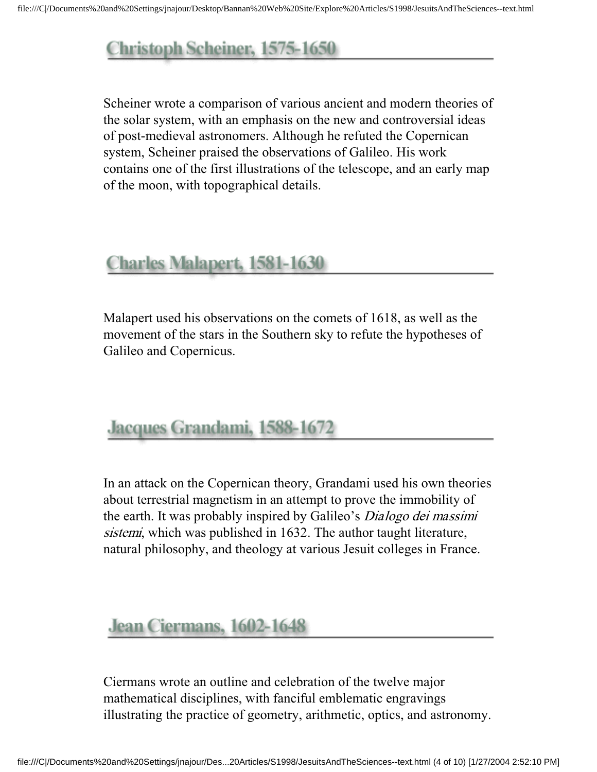# Christoph Scheiner, 1575-1650

Scheiner wrote a comparison of various ancient and modern theories of the solar system, with an emphasis on the new and controversial ideas of post-medieval astronomers. Although he refuted the Copernican system, Scheiner praised the observations of Galileo. His work contains one of the first illustrations of the telescope, and an early map of the moon, with topographical details.

#### **Charles Malapert, 1581-1630**

Malapert used his observations on the comets of 1618, as well as the movement of the stars in the Southern sky to refute the hypotheses of Galileo and Copernicus.

## Jacques Grandami, 1588-1672

In an attack on the Copernican theory, Grandami used his own theories about terrestrial magnetism in an attempt to prove the immobility of the earth. It was probably inspired by Galileo's *Dialogo dei massimi* sistemi, which was published in 1632. The author taught literature, natural philosophy, and theology at various Jesuit colleges in France.

#### Jean Ciermans, 1602-1648

Ciermans wrote an outline and celebration of the twelve major mathematical disciplines, with fanciful emblematic engravings illustrating the practice of geometry, arithmetic, optics, and astronomy.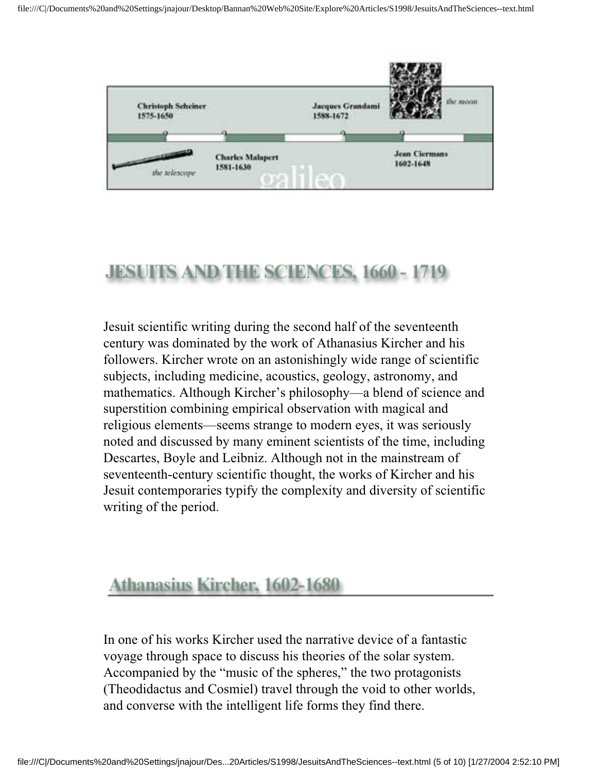

# **JESUITS AND THE SCIENCES, 1660 - 1719**

Jesuit scientific writing during the second half of the seventeenth century was dominated by the work of Athanasius Kircher and his followers. Kircher wrote on an astonishingly wide range of scientific subjects, including medicine, acoustics, geology, astronomy, and mathematics. Although Kircher's philosophy—a blend of science and superstition combining empirical observation with magical and religious elements—seems strange to modern eyes, it was seriously noted and discussed by many eminent scientists of the time, including Descartes, Boyle and Leibniz. Although not in the mainstream of seventeenth-century scientific thought, the works of Kircher and his Jesuit contemporaries typify the complexity and diversity of scientific writing of the period.

#### Athanasius Kircher, 1602-1680

In one of his works Kircher used the narrative device of a fantastic voyage through space to discuss his theories of the solar system. Accompanied by the "music of the spheres," the two protagonists (Theodidactus and Cosmiel) travel through the void to other worlds, and converse with the intelligent life forms they find there.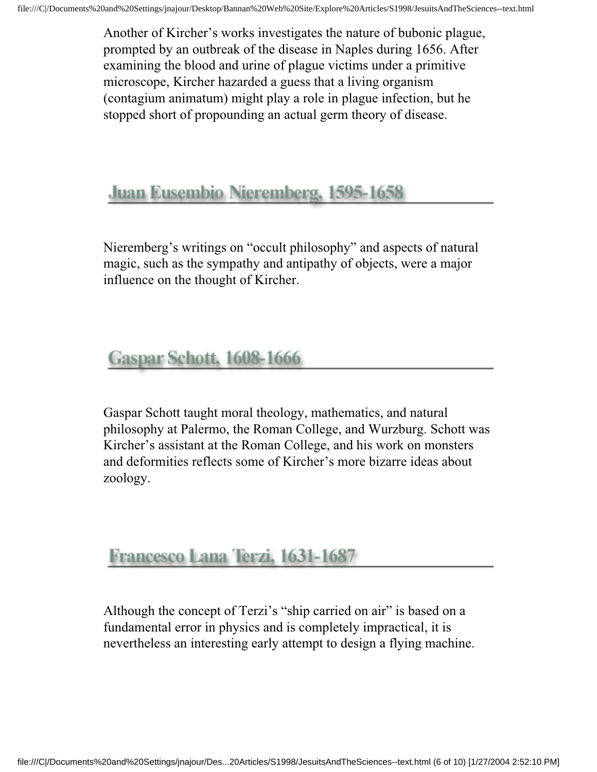Another of Kircher's works investigates the nature of bubonic plague, prompted by an outbreak of the disease in Naples during 1656. After examining the blood and urine of plague victims under a primitive microscope, Kircher hazarded a guess that a living organism (contagium animatum) might play a role in plague infection, but he stopped short of propounding an actual germ theory of disease.

#### Juan Eusembio Nieremberg, 1595-1658

Nieremberg's writings on "occult philosophy" and aspects of natural magic, such as the sympathy and antipathy of objects, were a major influence on the thought of Kircher.

### Gaspar Schott, 1608-1666

Gaspar Schott taught moral theology, mathematics, and natural philosophy at Palermo, the Roman College, and Wurzburg. Schott was Kircher's assistant at the Roman College, and his work on monsters and deformities reflects some of Kircher's more bizarre ideas about zoology.

#### Francesco Lana Terzi, 1631-1687

Although the concept of Terzi's "ship carried on air" is based on a fundamental error in physics and is completely impractical, it is nevertheless an interesting early attempt to design a flying machine.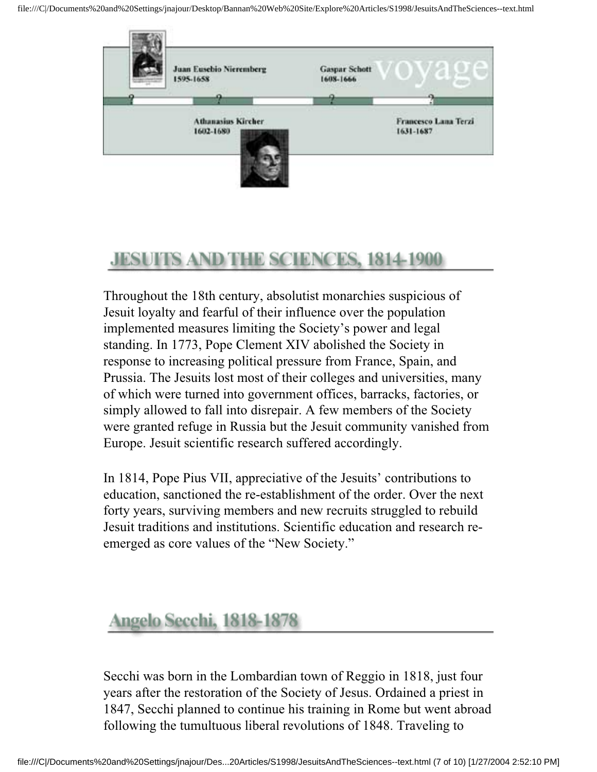

## **JESUITS AND THE SCIENCES, 1814-1900**

Throughout the 18th century, absolutist monarchies suspicious of Jesuit loyalty and fearful of their influence over the population implemented measures limiting the Society's power and legal standing. In 1773, Pope Clement XIV abolished the Society in response to increasing political pressure from France, Spain, and Prussia. The Jesuits lost most of their colleges and universities, many of which were turned into government offices, barracks, factories, or simply allowed to fall into disrepair. A few members of the Society were granted refuge in Russia but the Jesuit community vanished from Europe. Jesuit scientific research suffered accordingly.

In 1814, Pope Pius VII, appreciative of the Jesuits' contributions to education, sanctioned the re-establishment of the order. Over the next forty years, surviving members and new recruits struggled to rebuild Jesuit traditions and institutions. Scientific education and research reemerged as core values of the "New Society."

#### **Angelo Secchi, 1818-1878**

Secchi was born in the Lombardian town of Reggio in 1818, just four years after the restoration of the Society of Jesus. Ordained a priest in 1847, Secchi planned to continue his training in Rome but went abroad following the tumultuous liberal revolutions of 1848. Traveling to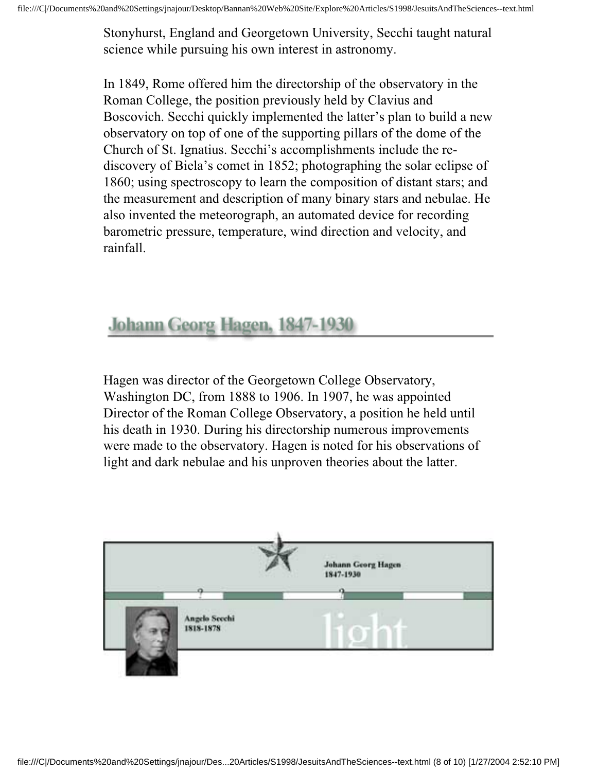Stonyhurst, England and Georgetown University, Secchi taught natural science while pursuing his own interest in astronomy.

In 1849, Rome offered him the directorship of the observatory in the Roman College, the position previously held by Clavius and Boscovich. Secchi quickly implemented the latter's plan to build a new observatory on top of one of the supporting pillars of the dome of the Church of St. Ignatius. Secchi's accomplishments include the rediscovery of Biela's comet in 1852; photographing the solar eclipse of 1860; using spectroscopy to learn the composition of distant stars; and the measurement and description of many binary stars and nebulae. He also invented the meteorograph, an automated device for recording barometric pressure, temperature, wind direction and velocity, and rainfall.

### Johann Georg Hagen, 1847-1930

Hagen was director of the Georgetown College Observatory, Washington DC, from 1888 to 1906. In 1907, he was appointed Director of the Roman College Observatory, a position he held until his death in 1930. During his directorship numerous improvements were made to the observatory. Hagen is noted for his observations of light and dark nebulae and his unproven theories about the latter.

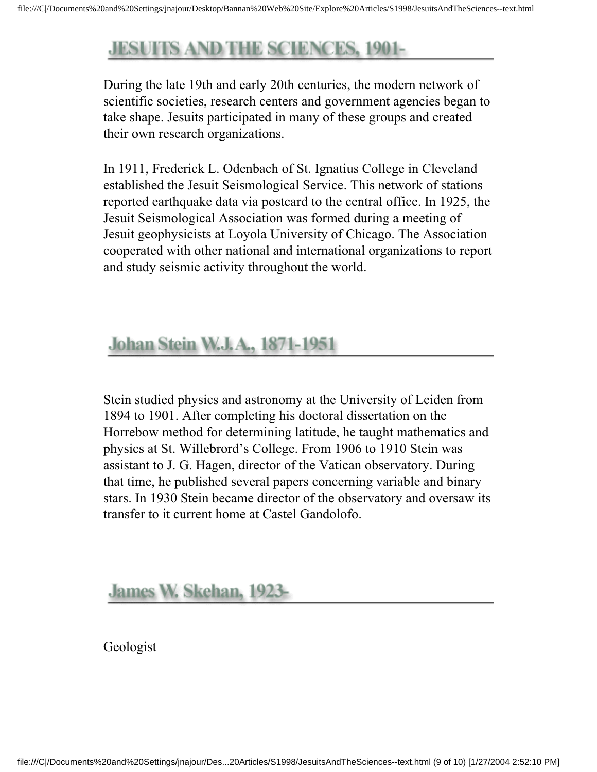## **JESUITS AND THE SCIENCES, 1901-**

During the late 19th and early 20th centuries, the modern network of scientific societies, research centers and government agencies began to take shape. Jesuits participated in many of these groups and created their own research organizations.

In 1911, Frederick L. Odenbach of St. Ignatius College in Cleveland established the Jesuit Seismological Service. This network of stations reported earthquake data via postcard to the central office. In 1925, the Jesuit Seismological Association was formed during a meeting of Jesuit geophysicists at Loyola University of Chicago. The Association cooperated with other national and international organizations to report and study seismic activity throughout the world.

#### **Johan Stein W.J.A., 1871-1951**

Stein studied physics and astronomy at the University of Leiden from 1894 to 1901. After completing his doctoral dissertation on the Horrebow method for determining latitude, he taught mathematics and physics at St. Willebrord's College. From 1906 to 1910 Stein was assistant to J. G. Hagen, director of the Vatican observatory. During that time, he published several papers concerning variable and binary stars. In 1930 Stein became director of the observatory and oversaw its transfer to it current home at Castel Gandolofo.

#### James W. Skehan, 1923-

Geologist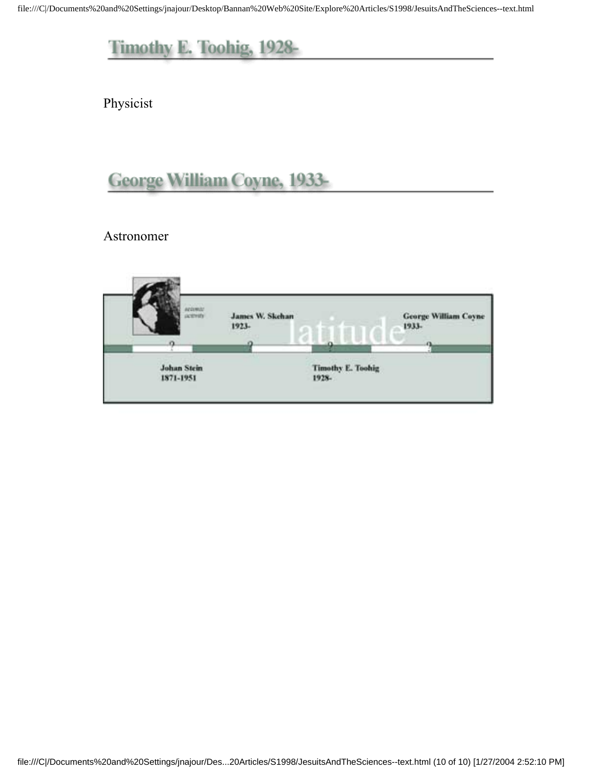Physicist

## George William Coyne, 1933-

Astronomer

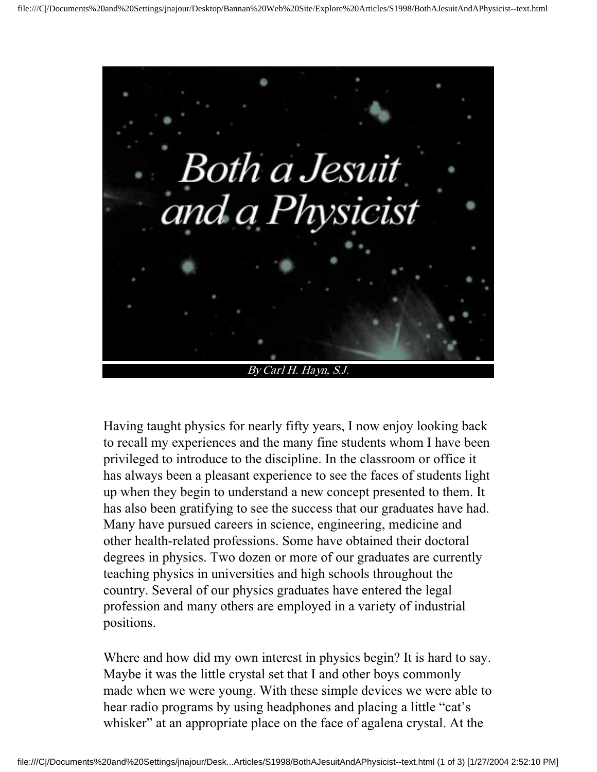

Having taught physics for nearly fifty years, I now enjoy looking back to recall my experiences and the many fine students whom I have been privileged to introduce to the discipline. In the classroom or office it has always been a pleasant experience to see the faces of students light up when they begin to understand a new concept presented to them. It has also been gratifying to see the success that our graduates have had. Many have pursued careers in science, engineering, medicine and other health-related professions. Some have obtained their doctoral degrees in physics. Two dozen or more of our graduates are currently teaching physics in universities and high schools throughout the country. Several of our physics graduates have entered the legal profession and many others are employed in a variety of industrial positions.

Where and how did my own interest in physics begin? It is hard to say. Maybe it was the little crystal set that I and other boys commonly made when we were young. With these simple devices we were able to hear radio programs by using headphones and placing a little "cat's whisker" at an appropriate place on the face of agalena crystal. At the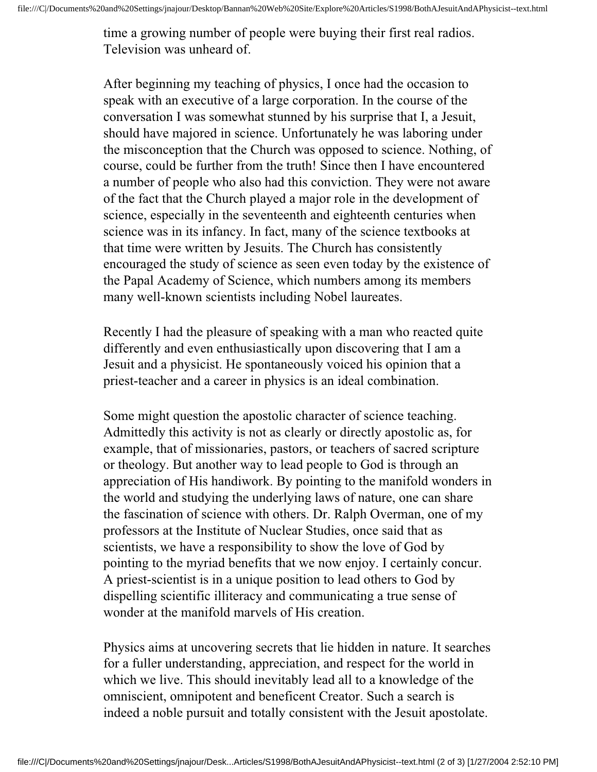time a growing number of people were buying their first real radios. Television was unheard of.

After beginning my teaching of physics, I once had the occasion to speak with an executive of a large corporation. In the course of the conversation I was somewhat stunned by his surprise that I, a Jesuit, should have majored in science. Unfortunately he was laboring under the misconception that the Church was opposed to science. Nothing, of course, could be further from the truth! Since then I have encountered a number of people who also had this conviction. They were not aware of the fact that the Church played a major role in the development of science, especially in the seventeenth and eighteenth centuries when science was in its infancy. In fact, many of the science textbooks at that time were written by Jesuits. The Church has consistently encouraged the study of science as seen even today by the existence of the Papal Academy of Science, which numbers among its members many well-known scientists including Nobel laureates.

Recently I had the pleasure of speaking with a man who reacted quite differently and even enthusiastically upon discovering that I am a Jesuit and a physicist. He spontaneously voiced his opinion that a priest-teacher and a career in physics is an ideal combination.

Some might question the apostolic character of science teaching. Admittedly this activity is not as clearly or directly apostolic as, for example, that of missionaries, pastors, or teachers of sacred scripture or theology. But another way to lead people to God is through an appreciation of His handiwork. By pointing to the manifold wonders in the world and studying the underlying laws of nature, one can share the fascination of science with others. Dr. Ralph Overman, one of my professors at the Institute of Nuclear Studies, once said that as scientists, we have a responsibility to show the love of God by pointing to the myriad benefits that we now enjoy. I certainly concur. A priest-scientist is in a unique position to lead others to God by dispelling scientific illiteracy and communicating a true sense of wonder at the manifold marvels of His creation.

Physics aims at uncovering secrets that lie hidden in nature. It searches for a fuller understanding, appreciation, and respect for the world in which we live. This should inevitably lead all to a knowledge of the omniscient, omnipotent and beneficent Creator. Such a search is indeed a noble pursuit and totally consistent with the Jesuit apostolate.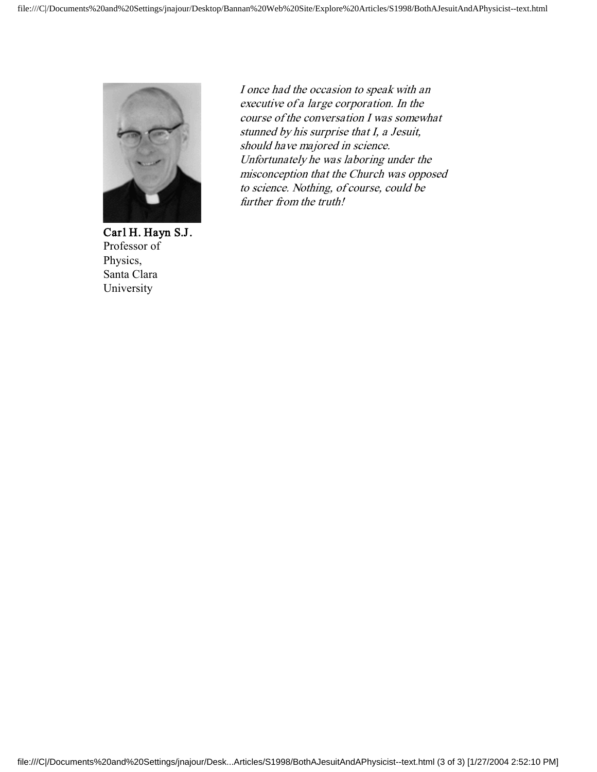

Carl H. Hayn S.J. Professor of Physics, Santa Clara University

I once had the occasion to speak with an executive of a large corporation. In the course of the conversation I was somewhat stunned by his surprise that I, a Jesuit, should have majored in science. Unfortunately he was laboring under the misconception that the Church was opposed to science. Nothing, of course, could be further from the truth!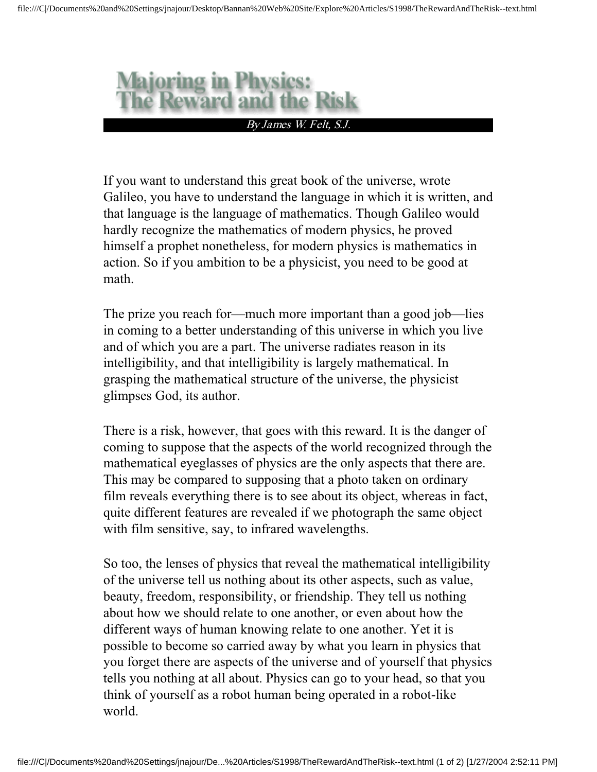

If you want to understand this great book of the universe, wrote Galileo, you have to understand the language in which it is written, and that language is the language of mathematics. Though Galileo would hardly recognize the mathematics of modern physics, he proved himself a prophet nonetheless, for modern physics is mathematics in action. So if you ambition to be a physicist, you need to be good at math.

The prize you reach for—much more important than a good job—lies in coming to a better understanding of this universe in which you live and of which you are a part. The universe radiates reason in its intelligibility, and that intelligibility is largely mathematical. In grasping the mathematical structure of the universe, the physicist glimpses God, its author.

There is a risk, however, that goes with this reward. It is the danger of coming to suppose that the aspects of the world recognized through the mathematical eyeglasses of physics are the only aspects that there are. This may be compared to supposing that a photo taken on ordinary film reveals everything there is to see about its object, whereas in fact, quite different features are revealed if we photograph the same object with film sensitive, say, to infrared wavelengths.

So too, the lenses of physics that reveal the mathematical intelligibility of the universe tell us nothing about its other aspects, such as value, beauty, freedom, responsibility, or friendship. They tell us nothing about how we should relate to one another, or even about how the different ways of human knowing relate to one another. Yet it is possible to become so carried away by what you learn in physics that you forget there are aspects of the universe and of yourself that physics tells you nothing at all about. Physics can go to your head, so that you think of yourself as a robot human being operated in a robot-like world.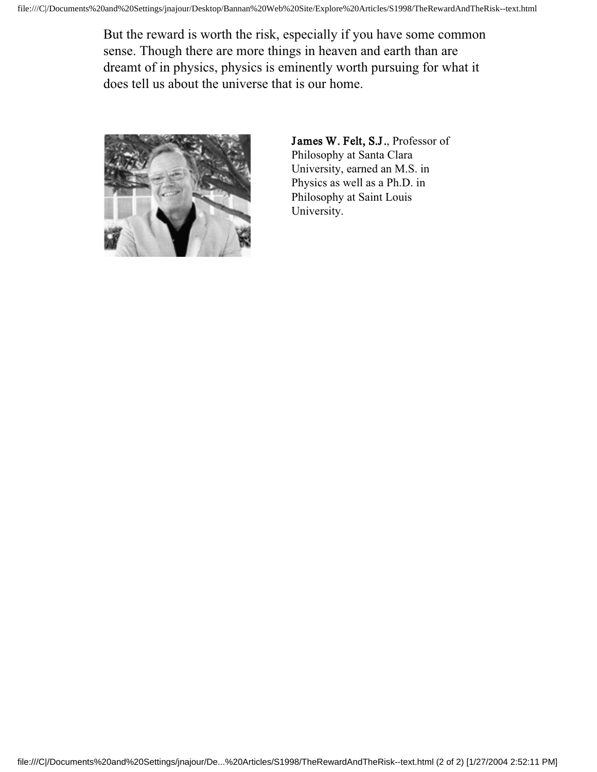But the reward is worth the risk, especially if you have some common sense. Though there are more things in heaven and earth than are dreamt of in physics, physics is eminently worth pursuing for what it does tell us about the universe that is our home.



James W. Felt, S.J., Professor of Philosophy at Santa Clara University, earned an M.S. in Physics as well as a Ph.D. in Philosophy at Saint Louis University.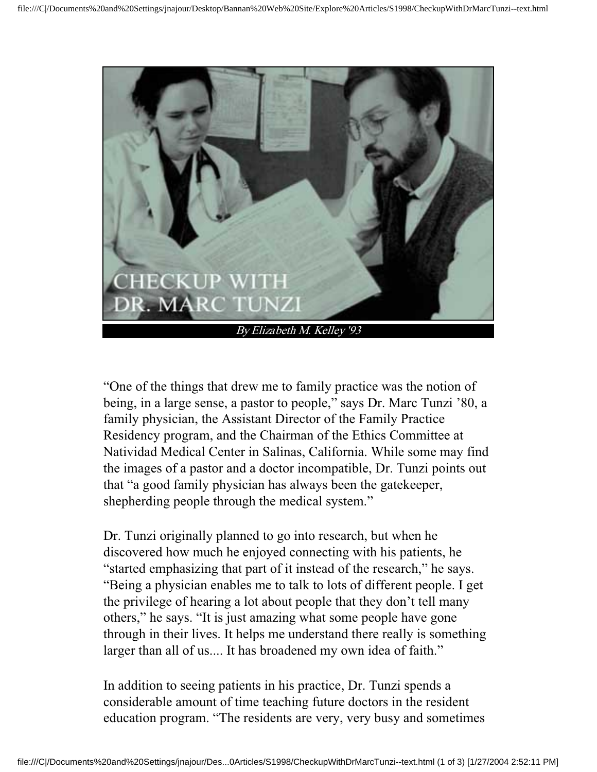

"One of the things that drew me to family practice was the notion of being, in a large sense, a pastor to people," says Dr. Marc Tunzi '80, a family physician, the Assistant Director of the Family Practice Residency program, and the Chairman of the Ethics Committee at Natividad Medical Center in Salinas, California. While some may find the images of a pastor and a doctor incompatible, Dr. Tunzi points out that "a good family physician has always been the gatekeeper, shepherding people through the medical system."

Dr. Tunzi originally planned to go into research, but when he discovered how much he enjoyed connecting with his patients, he "started emphasizing that part of it instead of the research," he says. "Being a physician enables me to talk to lots of different people. I get the privilege of hearing a lot about people that they don't tell many others," he says. "It is just amazing what some people have gone through in their lives. It helps me understand there really is something larger than all of us.... It has broadened my own idea of faith."

In addition to seeing patients in his practice, Dr. Tunzi spends a considerable amount of time teaching future doctors in the resident education program. "The residents are very, very busy and sometimes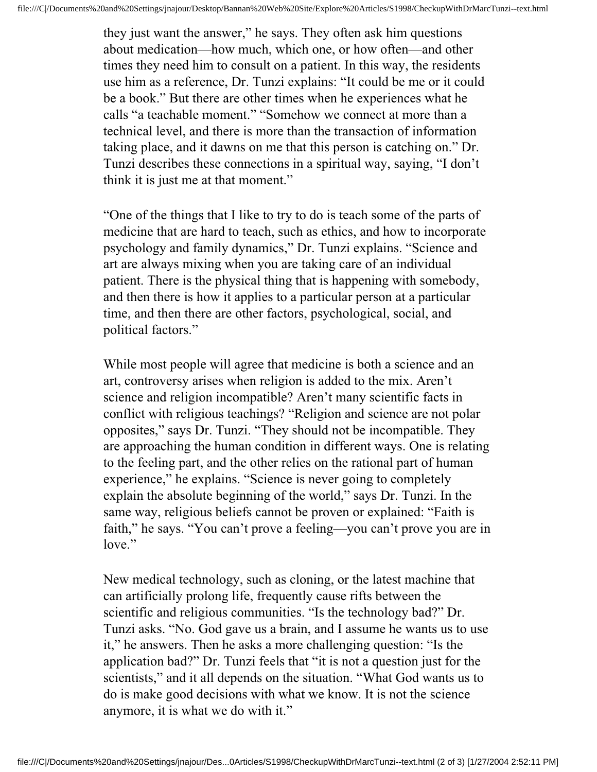they just want the answer," he says. They often ask him questions about medication—how much, which one, or how often—and other times they need him to consult on a patient. In this way, the residents use him as a reference, Dr. Tunzi explains: "It could be me or it could be a book." But there are other times when he experiences what he calls "a teachable moment." "Somehow we connect at more than a technical level, and there is more than the transaction of information taking place, and it dawns on me that this person is catching on." Dr. Tunzi describes these connections in a spiritual way, saying, "I don't think it is just me at that moment."

"One of the things that I like to try to do is teach some of the parts of medicine that are hard to teach, such as ethics, and how to incorporate psychology and family dynamics," Dr. Tunzi explains. "Science and art are always mixing when you are taking care of an individual patient. There is the physical thing that is happening with somebody, and then there is how it applies to a particular person at a particular time, and then there are other factors, psychological, social, and political factors."

While most people will agree that medicine is both a science and an art, controversy arises when religion is added to the mix. Aren't science and religion incompatible? Aren't many scientific facts in conflict with religious teachings? "Religion and science are not polar opposites," says Dr. Tunzi. "They should not be incompatible. They are approaching the human condition in different ways. One is relating to the feeling part, and the other relies on the rational part of human experience," he explains. "Science is never going to completely explain the absolute beginning of the world," says Dr. Tunzi. In the same way, religious beliefs cannot be proven or explained: "Faith is faith," he says. "You can't prove a feeling—you can't prove you are in love."

New medical technology, such as cloning, or the latest machine that can artificially prolong life, frequently cause rifts between the scientific and religious communities. "Is the technology bad?" Dr. Tunzi asks. "No. God gave us a brain, and I assume he wants us to use it," he answers. Then he asks a more challenging question: "Is the application bad?" Dr. Tunzi feels that "it is not a question just for the scientists," and it all depends on the situation. "What God wants us to do is make good decisions with what we know. It is not the science anymore, it is what we do with it."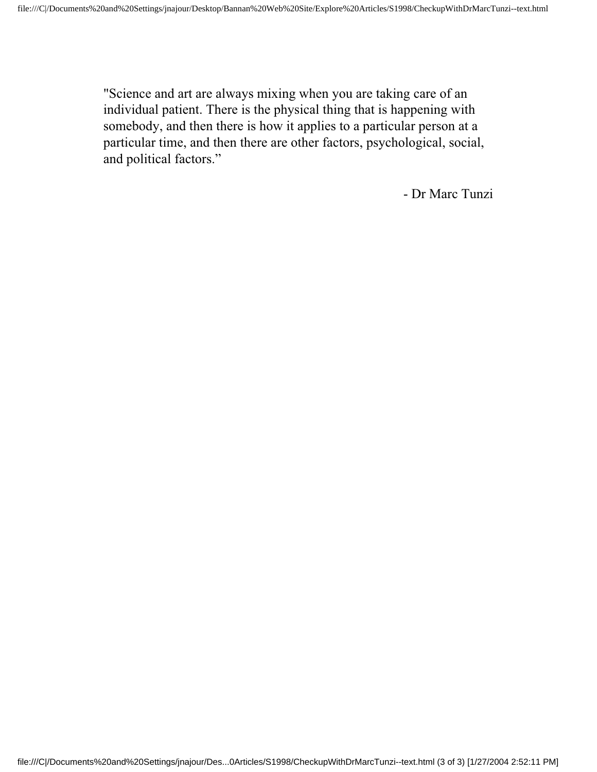"Science and art are always mixing when you are taking care of an individual patient. There is the physical thing that is happening with somebody, and then there is how it applies to a particular person at a particular time, and then there are other factors, psychological, social, and political factors."

- Dr Marc Tunzi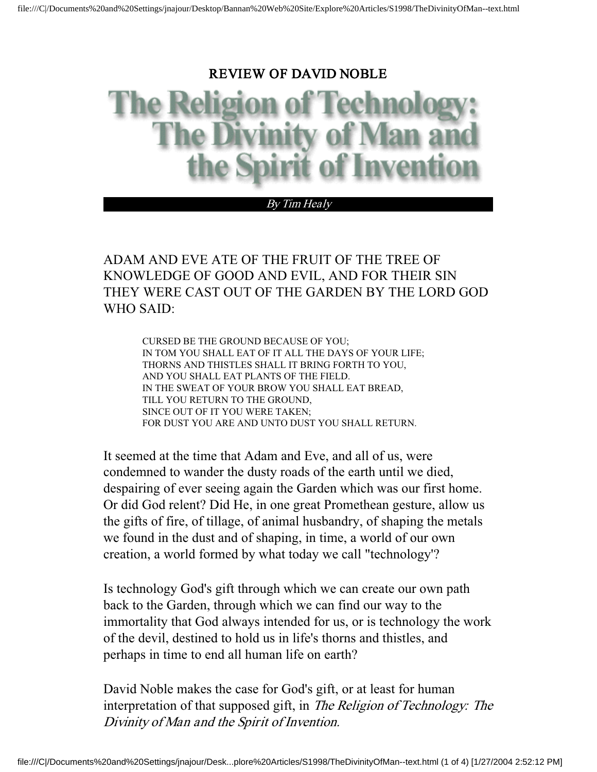#### REVIEW OF DAVID NOBLE

#### By Tim Healy

#### ADAM AND EVE ATE OF THE FRUIT OF THE TREE OF KNOWLEDGE OF GOOD AND EVIL, AND FOR THEIR SIN THEY WERE CAST OUT OF THE GARDEN BY THE LORD GOD WHO SAID:

CURSED BE THE GROUND BECAUSE OF YOU; IN TOM YOU SHALL EAT OF IT ALL THE DAYS OF YOUR LIFE; THORNS AND THISTLES SHALL IT BRING FORTH TO YOU, AND YOU SHALL EAT PLANTS OF THE FIELD. IN THE SWEAT OF YOUR BROW YOU SHALL EAT BREAD, TILL YOU RETURN TO THE GROUND, SINCE OUT OF IT YOU WERE TAKEN; FOR DUST YOU ARE AND UNTO DUST YOU SHALL RETURN.

It seemed at the time that Adam and Eve, and all of us, were condemned to wander the dusty roads of the earth until we died, despairing of ever seeing again the Garden which was our first home. Or did God relent? Did He, in one great Promethean gesture, allow us the gifts of fire, of tillage, of animal husbandry, of shaping the metals we found in the dust and of shaping, in time, a world of our own creation, a world formed by what today we call "technology'?

Is technology God's gift through which we can create our own path back to the Garden, through which we can find our way to the immortality that God always intended for us, or is technology the work of the devil, destined to hold us in life's thorns and thistles, and perhaps in time to end all human life on earth?

David Noble makes the case for God's gift, or at least for human interpretation of that supposed gift, in The Religion of Technology: The Divinity of Man and the Spirit of Invention.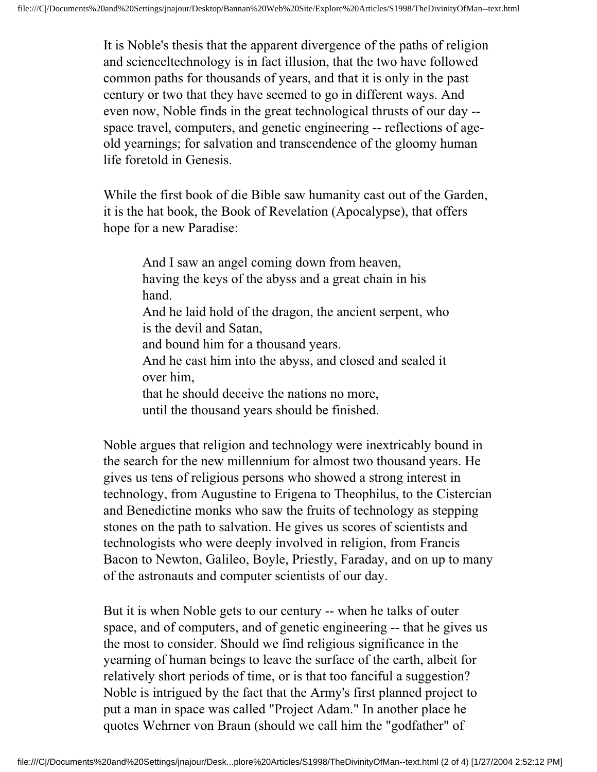It is Noble's thesis that the apparent divergence of the paths of religion and scienceltechnology is in fact illusion, that the two have followed common paths for thousands of years, and that it is only in the past century or two that they have seemed to go in different ways. And even now, Noble finds in the great technological thrusts of our day - space travel, computers, and genetic engineering -- reflections of ageold yearnings; for salvation and transcendence of the gloomy human life foretold in Genesis.

While the first book of die Bible saw humanity cast out of the Garden, it is the hat book, the Book of Revelation (Apocalypse), that offers hope for a new Paradise:

And I saw an angel coming down from heaven, having the keys of the abyss and a great chain in his hand. And he laid hold of the dragon, the ancient serpent, who is the devil and Satan, and bound him for a thousand years. And he cast him into the abyss, and closed and sealed it over him, that he should deceive the nations no more, until the thousand years should be finished.

Noble argues that religion and technology were inextricably bound in the search for the new millennium for almost two thousand years. He gives us tens of religious persons who showed a strong interest in technology, from Augustine to Erigena to Theophilus, to the Cistercian and Benedictine monks who saw the fruits of technology as stepping stones on the path to salvation. He gives us scores of scientists and technologists who were deeply involved in religion, from Francis Bacon to Newton, Galileo, Boyle, Priestly, Faraday, and on up to many of the astronauts and computer scientists of our day.

But it is when Noble gets to our century -- when he talks of outer space, and of computers, and of genetic engineering -- that he gives us the most to consider. Should we find religious significance in the yearning of human beings to leave the surface of the earth, albeit for relatively short periods of time, or is that too fanciful a suggestion? Noble is intrigued by the fact that the Army's first planned project to put a man in space was called "Project Adam." In another place he quotes Wehrner von Braun (should we call him the "godfather" of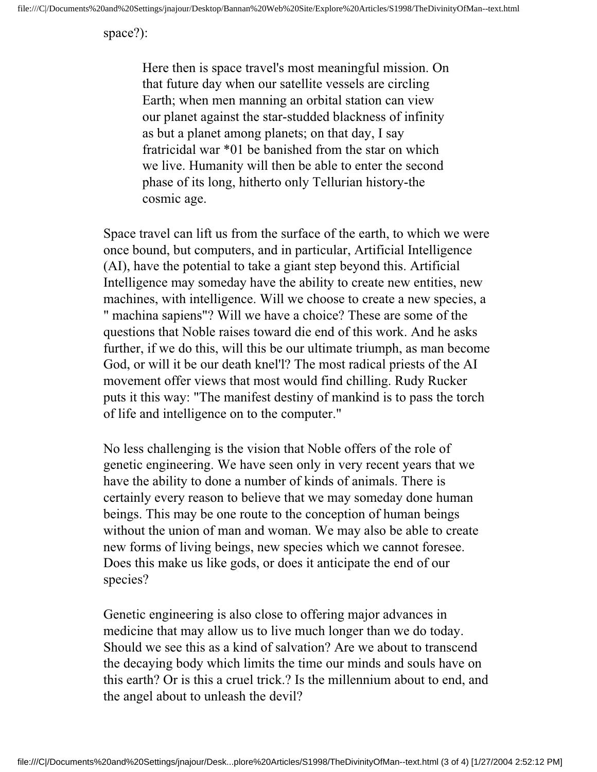space?):

Here then is space travel's most meaningful mission. On that future day when our satellite vessels are circling Earth; when men manning an orbital station can view our planet against the star-studded blackness of infinity as but a planet among planets; on that day, I say fratricidal war \*01 be banished from the star on which we live. Humanity will then be able to enter the second phase of its long, hitherto only Tellurian history-the cosmic age.

Space travel can lift us from the surface of the earth, to which we were once bound, but computers, and in particular, Artificial Intelligence (AI), have the potential to take a giant step beyond this. Artificial Intelligence may someday have the ability to create new entities, new machines, with intelligence. Will we choose to create a new species, a " machina sapiens"? Will we have a choice? These are some of the questions that Noble raises toward die end of this work. And he asks further, if we do this, will this be our ultimate triumph, as man become God, or will it be our death knel'l? The most radical priests of the AI movement offer views that most would find chilling. Rudy Rucker puts it this way: "The manifest destiny of mankind is to pass the torch of life and intelligence on to the computer."

No less challenging is the vision that Noble offers of the role of genetic engineering. We have seen only in very recent years that we have the ability to done a number of kinds of animals. There is certainly every reason to believe that we may someday done human beings. This may be one route to the conception of human beings without the union of man and woman. We may also be able to create new forms of living beings, new species which we cannot foresee. Does this make us like gods, or does it anticipate the end of our species?

Genetic engineering is also close to offering major advances in medicine that may allow us to live much longer than we do today. Should we see this as a kind of salvation? Are we about to transcend the decaying body which limits the time our minds and souls have on this earth? Or is this a cruel trick.? Is the millennium about to end, and the angel about to unleash the devil?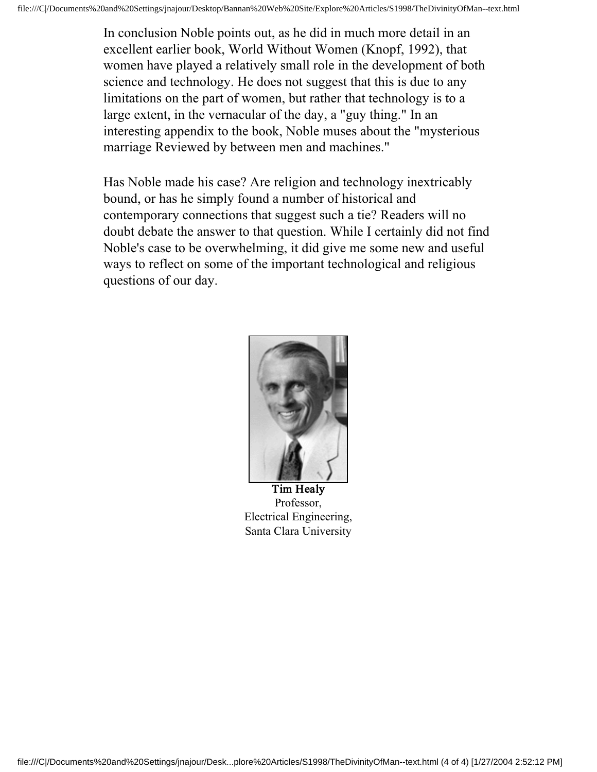In conclusion Noble points out, as he did in much more detail in an excellent earlier book, World Without Women (Knopf, 1992), that women have played a relatively small role in the development of both science and technology. He does not suggest that this is due to any limitations on the part of women, but rather that technology is to a large extent, in the vernacular of the day, a "guy thing." In an interesting appendix to the book, Noble muses about the "mysterious marriage Reviewed by between men and machines."

Has Noble made his case? Are religion and technology inextricably bound, or has he simply found a number of historical and contemporary connections that suggest such a tie? Readers will no doubt debate the answer to that question. While I certainly did not find Noble's case to be overwhelming, it did give me some new and useful ways to reflect on some of the important technological and religious questions of our day.



Tim Healy Professor, Electrical Engineering, Santa Clara University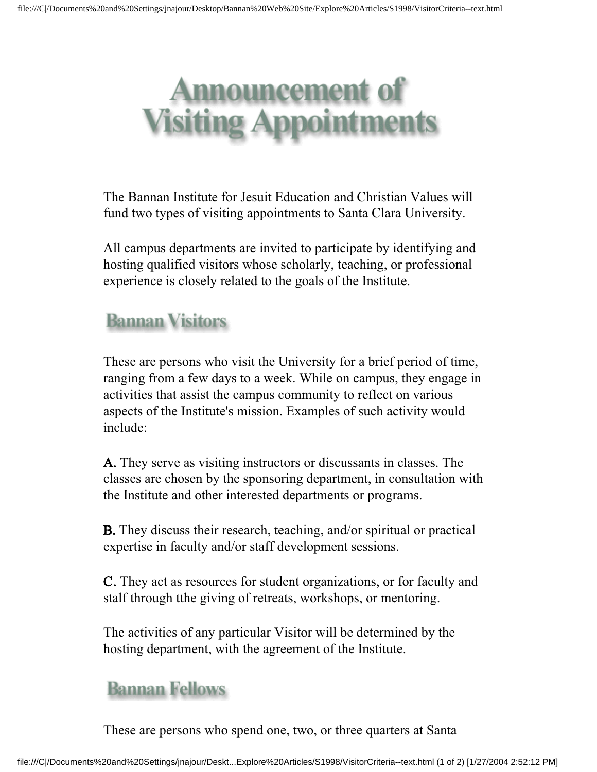# **puncement of** siting Appointments

The Bannan Institute for Jesuit Education and Christian Values will fund two types of visiting appointments to Santa Clara University.

All campus departments are invited to participate by identifying and hosting qualified visitors whose scholarly, teaching, or professional experience is closely related to the goals of the Institute.

# **Bannan Visitors**

These are persons who visit the University for a brief period of time, ranging from a few days to a week. While on campus, they engage in activities that assist the campus community to reflect on various aspects of the Institute's mission. Examples of such activity would include:

A. They serve as visiting instructors or discussants in classes. The classes are chosen by the sponsoring department, in consultation with the Institute and other interested departments or programs.

B. They discuss their research, teaching, and/or spiritual or practical expertise in faculty and/or staff development sessions.

C. They act as resources for student organizations, or for faculty and stalf through tthe giving of retreats, workshops, or mentoring.

The activities of any particular Visitor will be determined by the hosting department, with the agreement of the Institute.

## **Bannan Fellows**

These are persons who spend one, two, or three quarters at Santa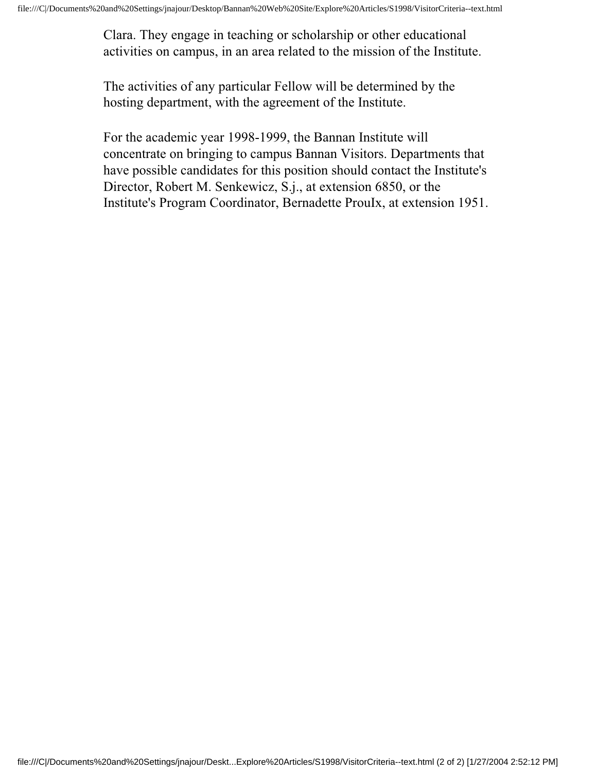Clara. They engage in teaching or scholarship or other educational activities on campus, in an area related to the mission of the Institute.

The activities of any particular Fellow will be determined by the hosting department, with the agreement of the Institute.

For the academic year 1998-1999, the Bannan Institute will concentrate on bringing to campus Bannan Visitors. Departments that have possible candidates for this position should contact the Institute's Director, Robert M. Senkewicz, S.j., at extension 6850, or the Institute's Program Coordinator, Bernadette ProuIx, at extension 1951.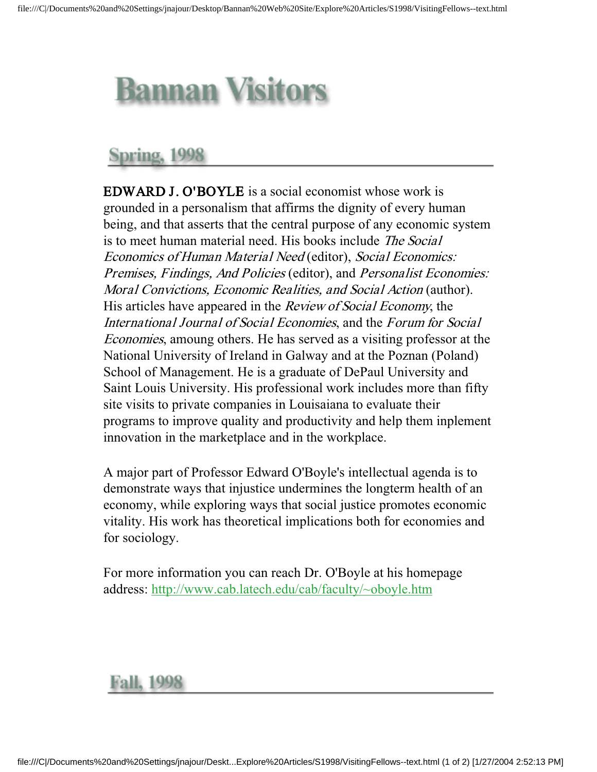# **Bannan Visitors**

# Spring, 1998

EDWARD J. O'BOYLE is a social economist whose work is grounded in a personalism that affirms the dignity of every human being, and that asserts that the central purpose of any economic system is to meet human material need. His books include The Social Economics of Human Material Need (editor), Social Economics: Premises, Findings, And Policies (editor), and Personalist Economies: Moral Convictions, Economic Realities, and Social Action (author). His articles have appeared in the *Review of Social Economy*, the International Journal of Social Economies, and the Forum for Social Economies, amoung others. He has served as a visiting professor at the National University of Ireland in Galway and at the Poznan (Poland) School of Management. He is a graduate of DePaul University and Saint Louis University. His professional work includes more than fifty site visits to private companies in Louisaiana to evaluate their programs to improve quality and productivity and help them inplement innovation in the marketplace and in the workplace.

A major part of Professor Edward O'Boyle's intellectual agenda is to demonstrate ways that injustice undermines the longterm health of an economy, while exploring ways that social justice promotes economic vitality. His work has theoretical implications both for economies and for sociology.

For more information you can reach Dr. O'Boyle at his homepage address: http://www.cab.latech.edu/cab/faculty/~oboyle.htm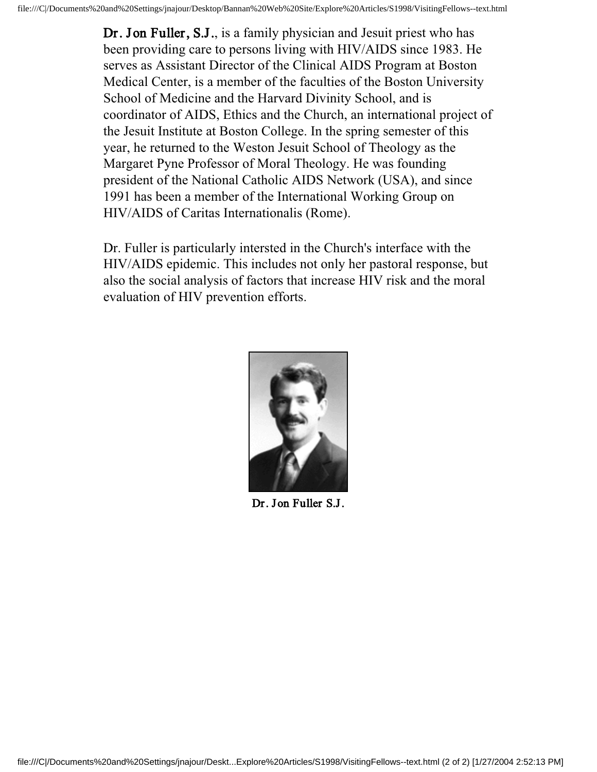Dr. Jon Fuller, S.J., is a family physician and Jesuit priest who has been providing care to persons living with HIV/AIDS since 1983. He serves as Assistant Director of the Clinical AIDS Program at Boston Medical Center, is a member of the faculties of the Boston University School of Medicine and the Harvard Divinity School, and is coordinator of AIDS, Ethics and the Church, an international project of the Jesuit Institute at Boston College. In the spring semester of this year, he returned to the Weston Jesuit School of Theology as the Margaret Pyne Professor of Moral Theology. He was founding president of the National Catholic AIDS Network (USA), and since 1991 has been a member of the International Working Group on HIV/AIDS of Caritas Internationalis (Rome).

Dr. Fuller is particularly intersted in the Church's interface with the HIV/AIDS epidemic. This includes not only her pastoral response, but also the social analysis of factors that increase HIV risk and the moral evaluation of HIV prevention efforts.



Dr. Jon Fuller S.J.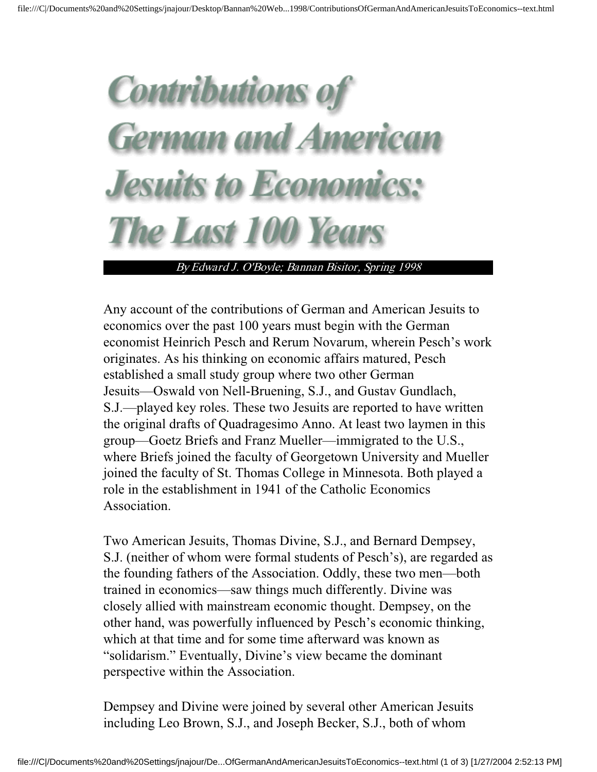# **Contributions of German and American Jesuits to Econom** he Last 100

By Edward J. O'Boyle; Bannan Bisitor, Spring 1998

Any account of the contributions of German and American Jesuits to economics over the past 100 years must begin with the German economist Heinrich Pesch and Rerum Novarum, wherein Pesch's work originates. As his thinking on economic affairs matured, Pesch established a small study group where two other German Jesuits—Oswald von Nell-Bruening, S.J., and Gustav Gundlach, S.J.—played key roles. These two Jesuits are reported to have written the original drafts of Quadragesimo Anno. At least two laymen in this group—Goetz Briefs and Franz Mueller—immigrated to the U.S., where Briefs joined the faculty of Georgetown University and Mueller joined the faculty of St. Thomas College in Minnesota. Both played a role in the establishment in 1941 of the Catholic Economics Association.

Two American Jesuits, Thomas Divine, S.J., and Bernard Dempsey, S.J. (neither of whom were formal students of Pesch's), are regarded as the founding fathers of the Association. Oddly, these two men—both trained in economics—saw things much differently. Divine was closely allied with mainstream economic thought. Dempsey, on the other hand, was powerfully influenced by Pesch's economic thinking, which at that time and for some time afterward was known as "solidarism." Eventually, Divine's view became the dominant perspective within the Association.

Dempsey and Divine were joined by several other American Jesuits including Leo Brown, S.J., and Joseph Becker, S.J., both of whom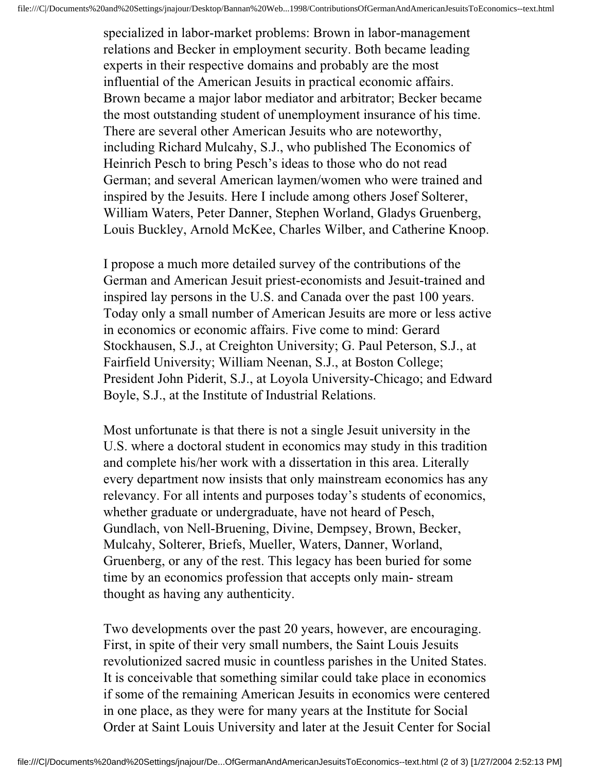specialized in labor-market problems: Brown in labor-management relations and Becker in employment security. Both became leading experts in their respective domains and probably are the most influential of the American Jesuits in practical economic affairs. Brown became a major labor mediator and arbitrator; Becker became the most outstanding student of unemployment insurance of his time. There are several other American Jesuits who are noteworthy, including Richard Mulcahy, S.J., who published The Economics of Heinrich Pesch to bring Pesch's ideas to those who do not read German; and several American laymen/women who were trained and inspired by the Jesuits. Here I include among others Josef Solterer, William Waters, Peter Danner, Stephen Worland, Gladys Gruenberg, Louis Buckley, Arnold McKee, Charles Wilber, and Catherine Knoop.

I propose a much more detailed survey of the contributions of the German and American Jesuit priest-economists and Jesuit-trained and inspired lay persons in the U.S. and Canada over the past 100 years. Today only a small number of American Jesuits are more or less active in economics or economic affairs. Five come to mind: Gerard Stockhausen, S.J., at Creighton University; G. Paul Peterson, S.J., at Fairfield University; William Neenan, S.J., at Boston College; President John Piderit, S.J., at Loyola University-Chicago; and Edward Boyle, S.J., at the Institute of Industrial Relations.

Most unfortunate is that there is not a single Jesuit university in the U.S. where a doctoral student in economics may study in this tradition and complete his/her work with a dissertation in this area. Literally every department now insists that only mainstream economics has any relevancy. For all intents and purposes today's students of economics, whether graduate or undergraduate, have not heard of Pesch, Gundlach, von Nell-Bruening, Divine, Dempsey, Brown, Becker, Mulcahy, Solterer, Briefs, Mueller, Waters, Danner, Worland, Gruenberg, or any of the rest. This legacy has been buried for some time by an economics profession that accepts only main- stream thought as having any authenticity.

Two developments over the past 20 years, however, are encouraging. First, in spite of their very small numbers, the Saint Louis Jesuits revolutionized sacred music in countless parishes in the United States. It is conceivable that something similar could take place in economics if some of the remaining American Jesuits in economics were centered in one place, as they were for many years at the Institute for Social Order at Saint Louis University and later at the Jesuit Center for Social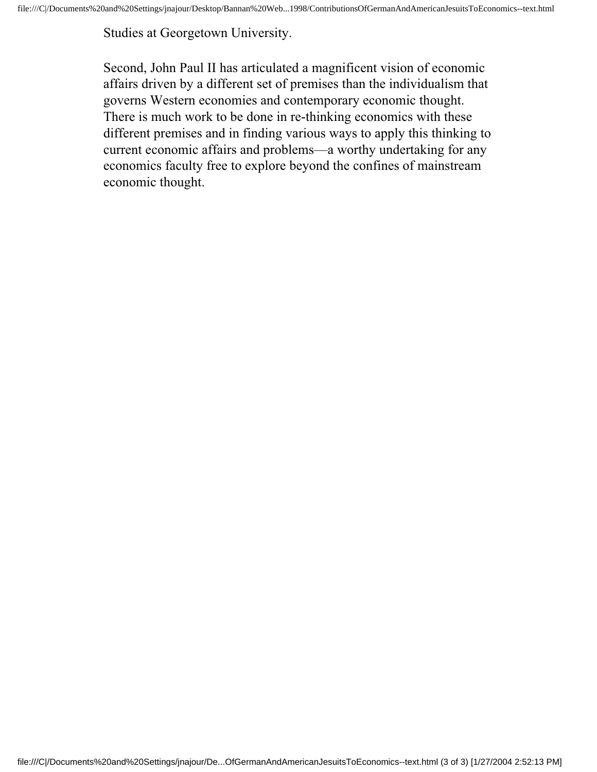Studies at Georgetown University.

Second, John Paul II has articulated a magnificent vision of economic affairs driven by a different set of premises than the individualism that governs Western economies and contemporary economic thought. There is much work to be done in re-thinking economics with these different premises and in finding various ways to apply this thinking to current economic affairs and problems—a worthy undertaking for any economics faculty free to explore beyond the confines of mainstream economic thought.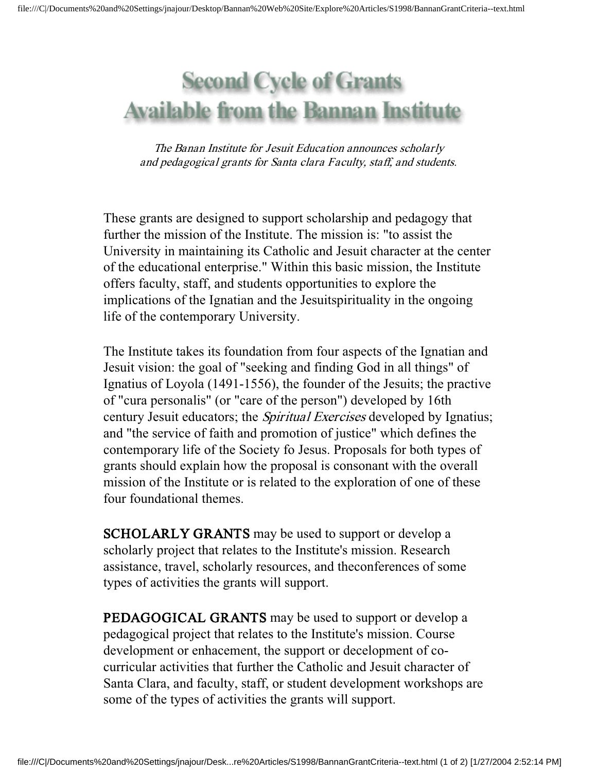# **Second Cycle of Grants Available from the Bannan Institute**

The Banan Institute for Jesuit Education announces scholarly and pedagogical grants for Santa clara Faculty, staff, and students.

These grants are designed to support scholarship and pedagogy that further the mission of the Institute. The mission is: "to assist the University in maintaining its Catholic and Jesuit character at the center of the educational enterprise." Within this basic mission, the Institute offers faculty, staff, and students opportunities to explore the implications of the Ignatian and the Jesuitspirituality in the ongoing life of the contemporary University.

The Institute takes its foundation from four aspects of the Ignatian and Jesuit vision: the goal of "seeking and finding God in all things" of Ignatius of Loyola (1491-1556), the founder of the Jesuits; the practive of "cura personalis" (or "care of the person") developed by 16th century Jesuit educators; the *Spiritual Exercises* developed by Ignatius; and "the service of faith and promotion of justice" which defines the contemporary life of the Society fo Jesus. Proposals for both types of grants should explain how the proposal is consonant with the overall mission of the Institute or is related to the exploration of one of these four foundational themes.

SCHOLARLY GRANTS may be used to support or develop a scholarly project that relates to the Institute's mission. Research assistance, travel, scholarly resources, and theconferences of some types of activities the grants will support.

PEDAGOGICAL GRANTS may be used to support or develop a pedagogical project that relates to the Institute's mission. Course development or enhacement, the support or decelopment of cocurricular activities that further the Catholic and Jesuit character of Santa Clara, and faculty, staff, or student development workshops are some of the types of activities the grants will support.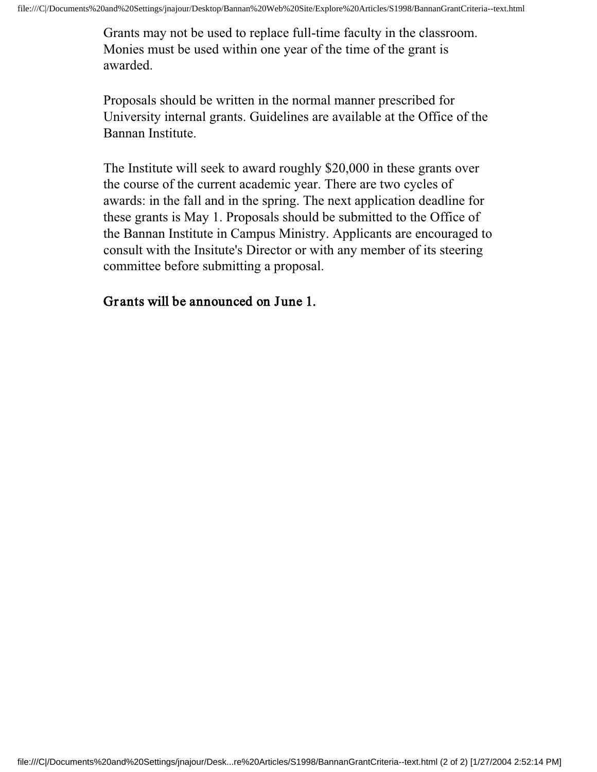Grants may not be used to replace full-time faculty in the classroom. Monies must be used within one year of the time of the grant is awarded.

Proposals should be written in the normal manner prescribed for University internal grants. Guidelines are available at the Office of the Bannan Institute.

The Institute will seek to award roughly \$20,000 in these grants over the course of the current academic year. There are two cycles of awards: in the fall and in the spring. The next application deadline for these grants is May 1. Proposals should be submitted to the Office of the Bannan Institute in Campus Ministry. Applicants are encouraged to consult with the Insitute's Director or with any member of its steering committee before submitting a proposal.

#### Grants will be announced on June 1.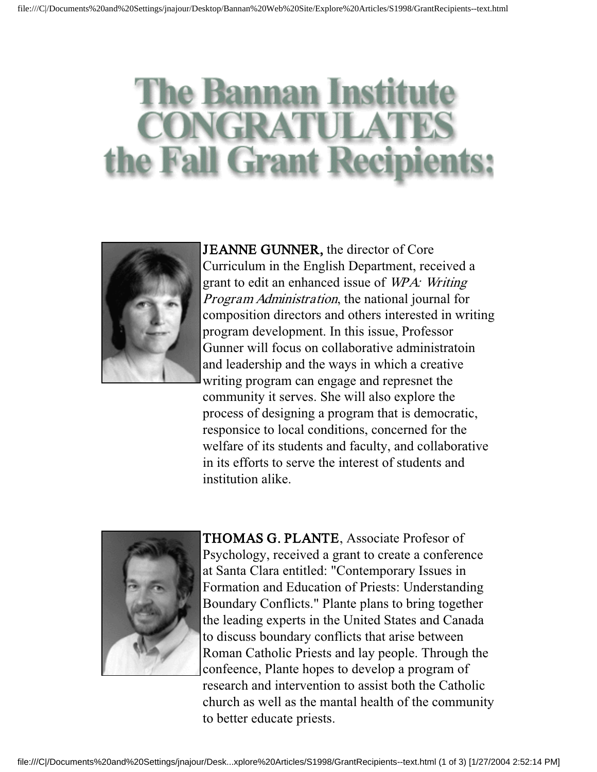# **lanna** the Fall Grant Recip



JEANNE GUNNER, the director of Core Curriculum in the English Department, received a grant to edit an enhanced issue of WPA: Writing Program Administration, the national journal for composition directors and others interested in writing program development. In this issue, Professor Gunner will focus on collaborative administratoin and leadership and the ways in which a creative writing program can engage and represnet the community it serves. She will also explore the process of designing a program that is democratic, responsice to local conditions, concerned for the welfare of its students and faculty, and collaborative in its efforts to serve the interest of students and institution alike.



THOMAS G. PLANTE, Associate Profesor of Psychology, received a grant to create a conference at Santa Clara entitled: "Contemporary Issues in Formation and Education of Priests: Understanding Boundary Conflicts." Plante plans to bring together the leading experts in the United States and Canada to discuss boundary conflicts that arise between Roman Catholic Priests and lay people. Through the confeence, Plante hopes to develop a program of research and intervention to assist both the Catholic church as well as the mantal health of the community to better educate priests.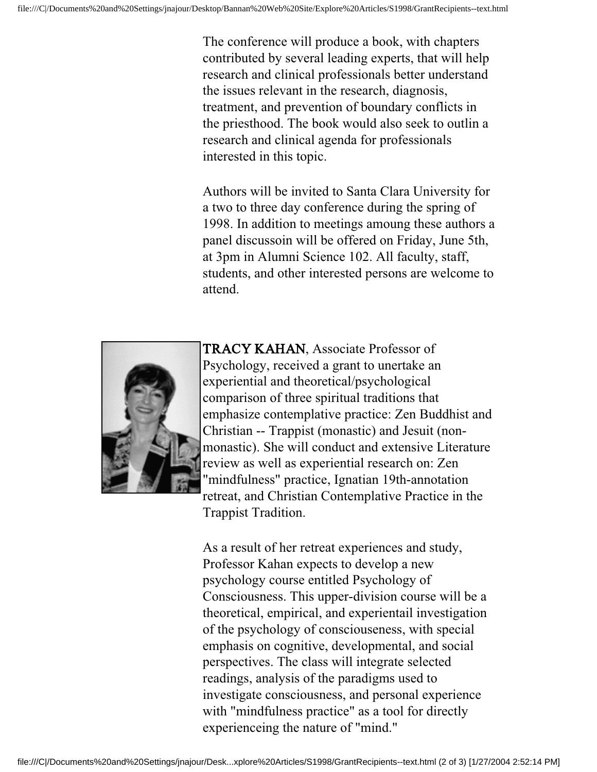The conference will produce a book, with chapters contributed by several leading experts, that will help research and clinical professionals better understand the issues relevant in the research, diagnosis, treatment, and prevention of boundary conflicts in the priesthood. The book would also seek to outlin a research and clinical agenda for professionals interested in this topic.

Authors will be invited to Santa Clara University for a two to three day conference during the spring of 1998. In addition to meetings amoung these authors a panel discussoin will be offered on Friday, June 5th, at 3pm in Alumni Science 102. All faculty, staff, students, and other interested persons are welcome to attend.



TRACY KAHAN, Associate Professor of Psychology, received a grant to unertake an experiential and theoretical/psychological comparison of three spiritual traditions that emphasize contemplative practice: Zen Buddhist and Christian -- Trappist (monastic) and Jesuit (nonmonastic). She will conduct and extensive Literature review as well as experiential research on: Zen "mindfulness" practice, Ignatian 19th-annotation retreat, and Christian Contemplative Practice in the Trappist Tradition.

As a result of her retreat experiences and study, Professor Kahan expects to develop a new psychology course entitled Psychology of Consciousness. This upper-division course will be a theoretical, empirical, and experientail investigation of the psychology of consciouseness, with special emphasis on cognitive, developmental, and social perspectives. The class will integrate selected readings, analysis of the paradigms used to investigate consciousness, and personal experience with "mindfulness practice" as a tool for directly experienceing the nature of "mind."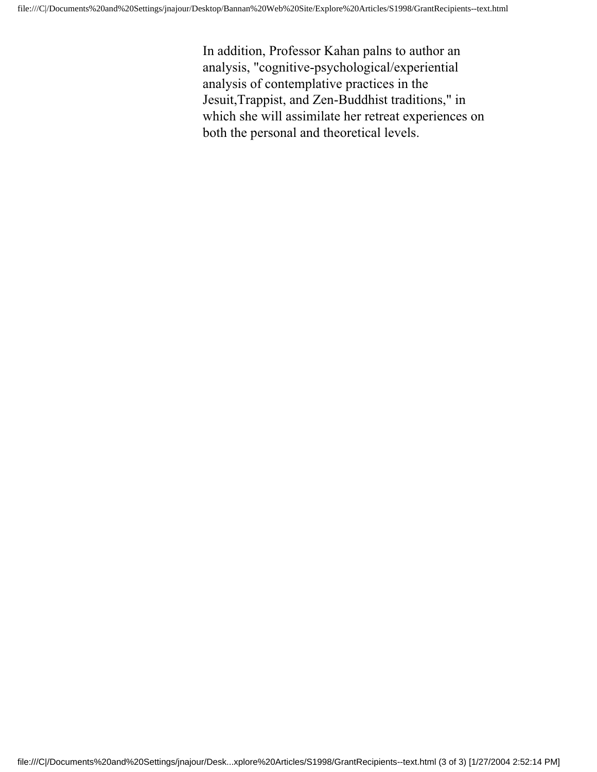In addition, Professor Kahan palns to author an analysis, "cognitive-psychological/experiential analysis of contemplative practices in the Jesuit,Trappist, and Zen-Buddhist traditions," in which she will assimilate her retreat experiences on both the personal and theoretical levels.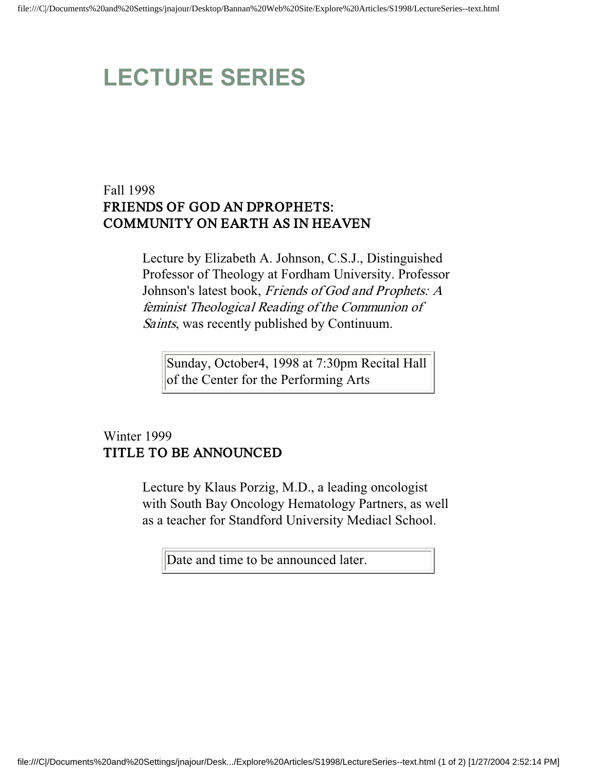# **LECTURE SERIES**

#### Fall 1998 FRIENDS OF GOD AN DPROPHETS: COMMUNITY ON EARTH AS IN HEAVEN

Lecture by Elizabeth A. Johnson, C.S.J., Distinguished Professor of Theology at Fordham University. Professor Johnson's latest book, Friends of God and Prophets: A feminist Theological Reading of the Communion of Saints, was recently published by Continuum.

Sunday, October4, 1998 at 7:30pm Recital Hall of the Center for the Performing Arts

#### Winter 1999 TITLE TO BE ANNOUNCED

Lecture by Klaus Porzig, M.D., a leading oncologist with South Bay Oncology Hematology Partners, as well as a teacher for Standford University Mediacl School.

Date and time to be announced later.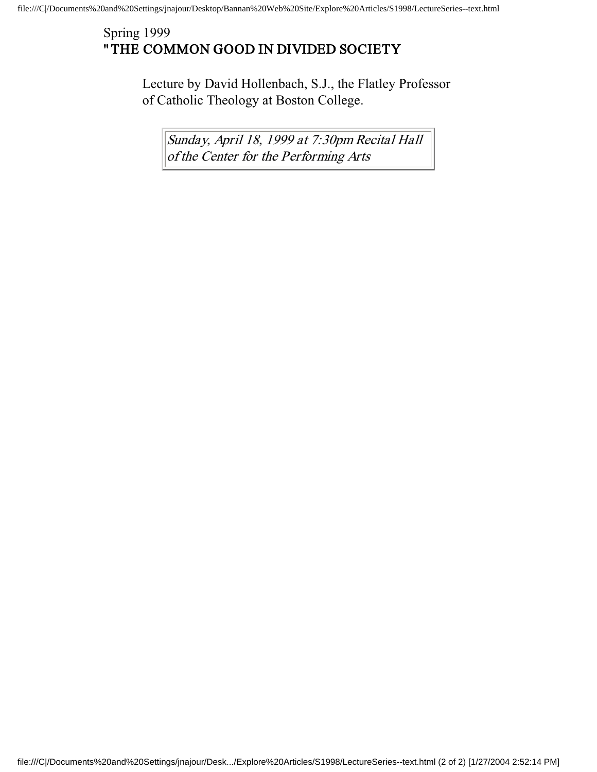#### Spring 1999 "THE COMMON GOOD IN DIVIDED SOCIETY

Lecture by David Hollenbach, S.J., the Flatley Professor of Catholic Theology at Boston College.

Sunday, April 18, 1999 at 7:30pm Recital Hall of the Center for the Performing Arts